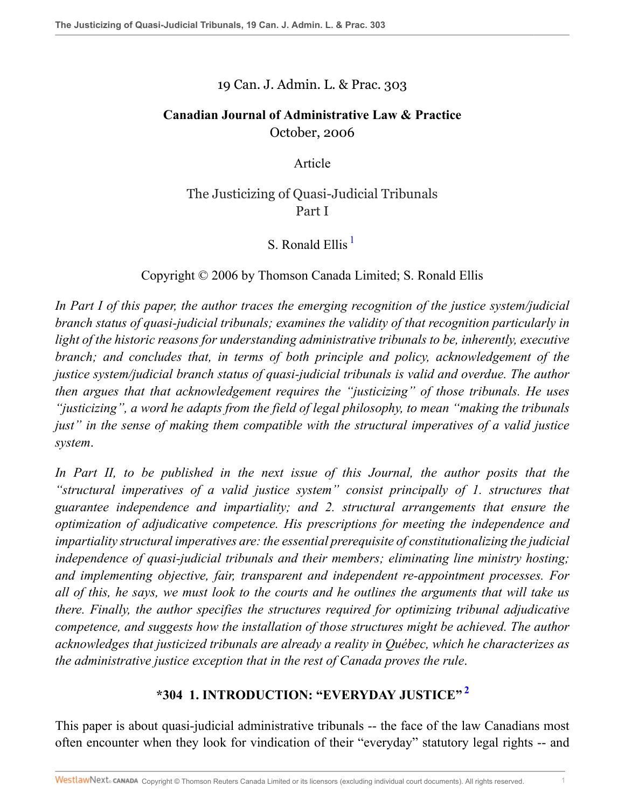### 19 Can. J. Admin. L. & Prac. 303

## **Canadian Journal of Administrative Law & Practice** October, 2006

Article

## The Justicizing of Quasi-Judicial Tribunals Part I

## <span id="page-0-0"></span>S. Ronald Ellis<sup>[1](#page-23-0)</sup>

### Copyright © 2006 by Thomson Canada Limited; S. Ronald Ellis

*In Part I of this paper, the author traces the emerging recognition of the justice system/judicial branch status of quasi-judicial tribunals; examines the validity of that recognition particularly in light of the historic reasons for understanding administrative tribunals to be, inherently, executive branch; and concludes that, in terms of both principle and policy, acknowledgement of the justice system/judicial branch status of quasi-judicial tribunals is valid and overdue. The author then argues that that acknowledgement requires the "justicizing" of those tribunals. He uses "justicizing", a word he adapts from the field of legal philosophy, to mean "making the tribunals just" in the sense of making them compatible with the structural imperatives of a valid justice system*.

*In Part II, to be published in the next issue of this Journal, the author posits that the "structural imperatives of a valid justice system" consist principally of 1. structures that guarantee independence and impartiality; and 2. structural arrangements that ensure the optimization of adjudicative competence. His prescriptions for meeting the independence and impartiality structural imperatives are: the essential prerequisite of constitutionalizing the judicial independence of quasi-judicial tribunals and their members; eliminating line ministry hosting; and implementing objective, fair, transparent and independent re-appointment processes. For all of this, he says, we must look to the courts and he outlines the arguments that will take us there. Finally, the author specifies the structures required for optimizing tribunal adjudicative competence, and suggests how the installation of those structures might be achieved. The author acknowledges that justicized tribunals are already a reality in Québec, which he characterizes as the administrative justice exception that in the rest of Canada proves the rule*.

## <span id="page-0-1"></span>**\*304 1. INTRODUCTION: "EVERYDAY JUSTICE" [2](#page-23-1)**

This paper is about quasi-judicial administrative tribunals -- the face of the law Canadians most often encounter when they look for vindication of their "everyday" statutory legal rights -- and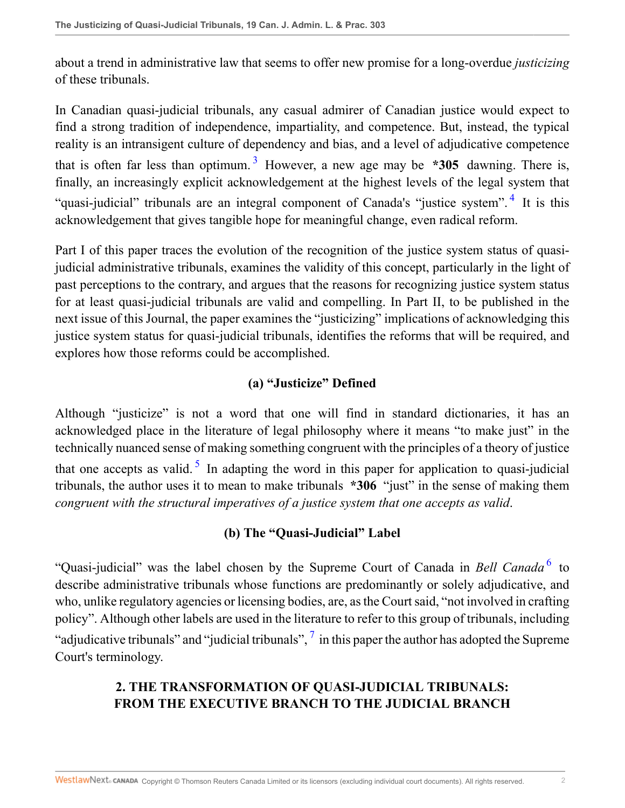about a trend in administrative law that seems to offer new promise for a long-overdue *justicizing* of these tribunals.

<span id="page-1-0"></span>In Canadian quasi-judicial tribunals, any casual admirer of Canadian justice would expect to find a strong tradition of independence, impartiality, and competence. But, instead, the typical reality is an intransigent culture of dependency and bias, and a level of adjudicative competence that is often far less than optimum.<sup>[3](#page-23-2)</sup> However, a new age may be  $*305$  dawning. There is, finally, an increasingly explicit acknowledgement at the highest levels of the legal system that "quasi-judicial" tribunals are an integral component of Canada's "justice system".<sup>[4](#page-23-3)</sup> It is this acknowledgement that gives tangible hope for meaningful change, even radical reform.

Part I of this paper traces the evolution of the recognition of the justice system status of quasijudicial administrative tribunals, examines the validity of this concept, particularly in the light of past perceptions to the contrary, and argues that the reasons for recognizing justice system status for at least quasi-judicial tribunals are valid and compelling. In Part II, to be published in the next issue of this Journal, the paper examines the "justicizing" implications of acknowledging this justice system status for quasi-judicial tribunals, identifies the reforms that will be required, and explores how those reforms could be accomplished.

## <span id="page-1-1"></span>**(a) "Justicize" Defined**

Although "justicize" is not a word that one will find in standard dictionaries, it has an acknowledged place in the literature of legal philosophy where it means "to make just" in the technically nuanced sense of making something congruent with the principles of a theory of justice that one accepts as valid.<sup>[5](#page-23-4)</sup> In adapting the word in this paper for application to quasi-judicial tribunals, the author uses it to mean to make tribunals **\*306** "just" in the sense of making them *congruent with the structural imperatives of a justice system that one accepts as valid*.

## <span id="page-1-4"></span><span id="page-1-3"></span><span id="page-1-2"></span>**(b) The "Quasi-Judicial" Label**

"Quasi-judicial" was the label chosen by the Supreme Court of Canada in *Bell Canada* [6](#page-23-5) to describe administrative tribunals whose functions are predominantly or solely adjudicative, and who, unlike regulatory agencies or licensing bodies, are, as the Court said, "not involved in crafting policy". Although other labels are used in the literature to refer to this group of tribunals, including "adjudicative tribunals" and "judicial tribunals",  $\frac{1}{2}$  in this paper the author has adopted the Supreme Court's terminology.

# **2. THE TRANSFORMATION OF QUASI-JUDICIAL TRIBUNALS: FROM THE EXECUTIVE BRANCH TO THE JUDICIAL BRANCH**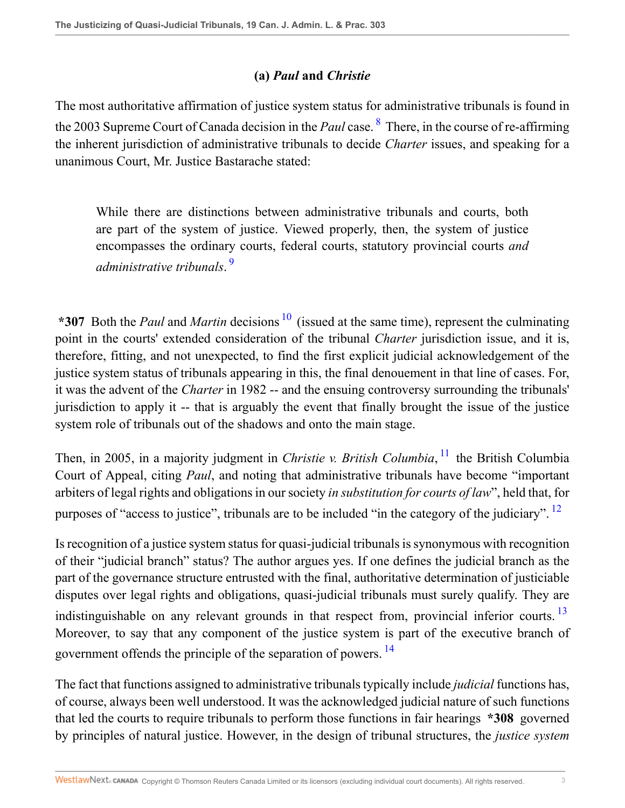## <span id="page-2-0"></span>**(a)** *Paul* **and** *Christie*

The most authoritative affirmation of justice system status for administrative tribunals is found in the 2003 Supreme Court of Canada decision in the *Paul* case. [8](#page-24-1) There, in the course of re-affirming the inherent jurisdiction of administrative tribunals to decide *Charter* issues, and speaking for a unanimous Court, Mr. Justice Bastarache stated:

<span id="page-2-2"></span><span id="page-2-1"></span>While there are distinctions between administrative tribunals and courts, both are part of the system of justice. Viewed properly, then, the system of justice encompasses the ordinary courts, federal courts, statutory provincial courts *and administrative tribunals*. [9](#page-24-2)

\*307 Both the *Paul* and *Martin* decisions <sup>[10](#page-24-3)</sup> (issued at the same time), represent the culminating point in the courts' extended consideration of the tribunal *Charter* jurisdiction issue, and it is, therefore, fitting, and not unexpected, to find the first explicit judicial acknowledgement of the justice system status of tribunals appearing in this, the final denouement in that line of cases. For, it was the advent of the *Charter* in 1982 -- and the ensuing controversy surrounding the tribunals' jurisdiction to apply it -- that is arguably the event that finally brought the issue of the justice system role of tribunals out of the shadows and onto the main stage.

<span id="page-2-3"></span>Then, in 2005, in a majority judgment in *Christie v. British Columbia*, [11](#page-24-4) the British Columbia Court of Appeal, citing *Paul*, and noting that administrative tribunals have become "important arbiters of legal rights and obligations in our society *in substitution for courts of law*", held that, for purposes of "access to justice", tribunals are to be included "in the category of the judiciary". <sup>[12](#page-24-5)</sup>

<span id="page-2-5"></span><span id="page-2-4"></span>Is recognition of a justice system status for quasi-judicial tribunals is synonymous with recognition of their "judicial branch" status? The author argues yes. If one defines the judicial branch as the part of the governance structure entrusted with the final, authoritative determination of justiciable disputes over legal rights and obligations, quasi-judicial tribunals must surely qualify. They are indistinguishable on any relevant grounds in that respect from, provincial inferior courts.<sup>[13](#page-24-6)</sup> Moreover, to say that any component of the justice system is part of the executive branch of government offends the principle of the separation of powers. [14](#page-24-7)

<span id="page-2-6"></span>The fact that functions assigned to administrative tribunals typically include *judicial* functions has, of course, always been well understood. It was the acknowledged judicial nature of such functions that led the courts to require tribunals to perform those functions in fair hearings **\*308** governed by principles of natural justice. However, in the design of tribunal structures, the *justice system*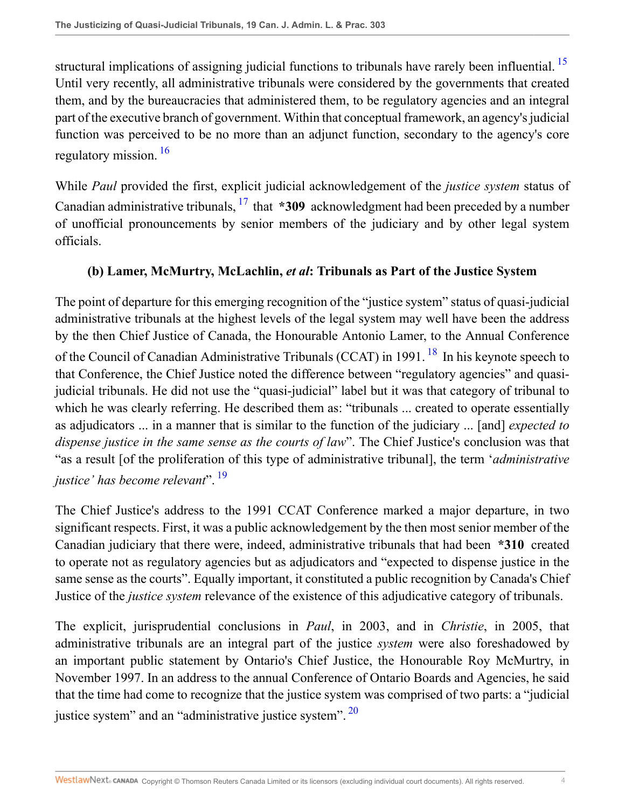<span id="page-3-0"></span>structural implications of assigning judicial functions to tribunals have rarely been influential.<sup>[15](#page-24-8)</sup> Until very recently, all administrative tribunals were considered by the governments that created them, and by the bureaucracies that administered them, to be regulatory agencies and an integral part of the executive branch of government. Within that conceptual framework, an agency's judicial function was perceived to be no more than an adjunct function, secondary to the agency's core regulatory mission. [16](#page-24-9)

<span id="page-3-1"></span>While *Paul* provided the first, explicit judicial acknowledgement of the *justice system* status of Canadian administrative tribunals, <sup>[17](#page-24-10)</sup> that **\*309** acknowledgment had been preceded by a number of unofficial pronouncements by senior members of the judiciary and by other legal system officials.

#### <span id="page-3-3"></span><span id="page-3-2"></span>**(b) Lamer, McMurtry, McLachlin,** *et al***: Tribunals as Part of the Justice System**

The point of departure for this emerging recognition of the "justice system" status of quasi-judicial administrative tribunals at the highest levels of the legal system may well have been the address by the then Chief Justice of Canada, the Honourable Antonio Lamer, to the Annual Conference of the Council of Canadian Administrative Tribunals (CCAT) in 1991. <sup>[18](#page-24-11)</sup> In his keynote speech to that Conference, the Chief Justice noted the difference between "regulatory agencies" and quasijudicial tribunals. He did not use the "quasi-judicial" label but it was that category of tribunal to which he was clearly referring. He described them as: "tribunals ... created to operate essentially as adjudicators ... in a manner that is similar to the function of the judiciary ... [and] *expected to dispense justice in the same sense as the courts of law*". The Chief Justice's conclusion was that "as a result [of the proliferation of this type of administrative tribunal], the term '*administrative justice' has become relevant*". [19](#page-25-0)

<span id="page-3-4"></span>The Chief Justice's address to the 1991 CCAT Conference marked a major departure, in two significant respects. First, it was a public acknowledgement by the then most senior member of the Canadian judiciary that there were, indeed, administrative tribunals that had been **\*310** created to operate not as regulatory agencies but as adjudicators and "expected to dispense justice in the same sense as the courts". Equally important, it constituted a public recognition by Canada's Chief Justice of the *justice system* relevance of the existence of this adjudicative category of tribunals.

<span id="page-3-5"></span>The explicit, jurisprudential conclusions in *Paul*, in 2003, and in *Christie*, in 2005, that administrative tribunals are an integral part of the justice *system* were also foreshadowed by an important public statement by Ontario's Chief Justice, the Honourable Roy McMurtry, in November 1997. In an address to the annual Conference of Ontario Boards and Agencies, he said that the time had come to recognize that the justice system was comprised of two parts: a "judicial justice system" and an "administrative justice system".<sup>[20](#page-25-1)</sup>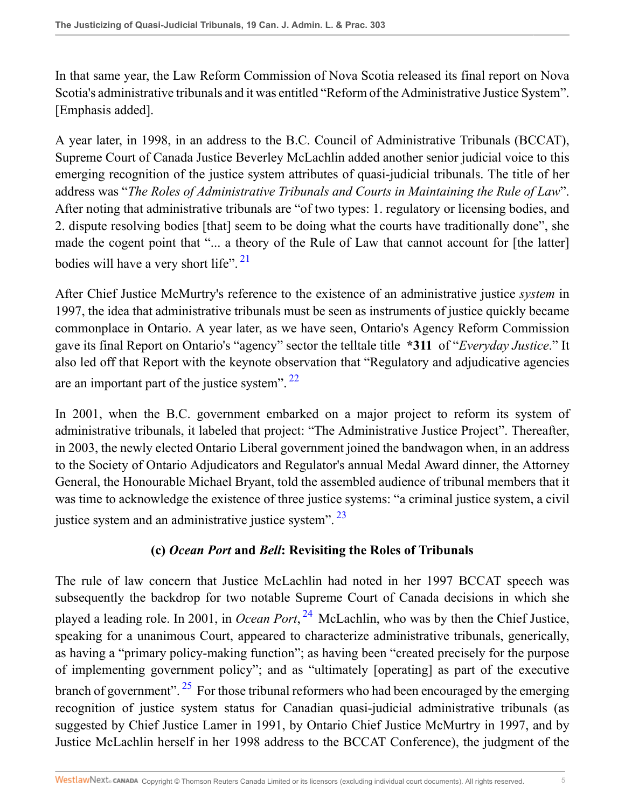In that same year, the Law Reform Commission of Nova Scotia released its final report on Nova Scotia's administrative tribunals and it was entitled "Reform of the Administrative Justice System". [Emphasis added].

A year later, in 1998, in an address to the B.C. Council of Administrative Tribunals (BCCAT), Supreme Court of Canada Justice Beverley McLachlin added another senior judicial voice to this emerging recognition of the justice system attributes of quasi-judicial tribunals. The title of her address was "*The Roles of Administrative Tribunals and Courts in Maintaining the Rule of Law*". After noting that administrative tribunals are "of two types: 1. regulatory or licensing bodies, and 2. dispute resolving bodies [that] seem to be doing what the courts have traditionally done", she made the cogent point that "... a theory of the Rule of Law that cannot account for [the latter] bodies will have a very short life".  $21$ 

<span id="page-4-0"></span>After Chief Justice McMurtry's reference to the existence of an administrative justice *system* in 1997, the idea that administrative tribunals must be seen as instruments of justice quickly became commonplace in Ontario. A year later, as we have seen, Ontario's Agency Reform Commission gave its final Report on Ontario's "agency" sector the telltale title **\*311** of "*Everyday Justice*." It also led off that Report with the keynote observation that "Regulatory and adjudicative agencies are an important part of the justice system".<sup>[22](#page-25-3)</sup>

In 2001, when the B.C. government embarked on a major project to reform its system of administrative tribunals, it labeled that project: "The Administrative Justice Project". Thereafter, in 2003, the newly elected Ontario Liberal government joined the bandwagon when, in an address to the Society of Ontario Adjudicators and Regulator's annual Medal Award dinner, the Attorney General, the Honourable Michael Bryant, told the assembled audience of tribunal members that it was time to acknowledge the existence of three justice systems: "a criminal justice system, a civil justice system and an administrative justice system".  $23$ 

### <span id="page-4-4"></span><span id="page-4-3"></span><span id="page-4-2"></span><span id="page-4-1"></span>**(c)** *Ocean Port* **and** *Bell***: Revisiting the Roles of Tribunals**

The rule of law concern that Justice McLachlin had noted in her 1997 BCCAT speech was subsequently the backdrop for two notable Supreme Court of Canada decisions in which she played a leading role. In 2001, in *Ocean Port*, [24](#page-25-5) McLachlin, who was by then the Chief Justice, speaking for a unanimous Court, appeared to characterize administrative tribunals, generically, as having a "primary policy-making function"; as having been "created precisely for the purpose of implementing government policy"; and as "ultimately [operating] as part of the executive branch of government".  $2^5$  For those tribunal reformers who had been encouraged by the emerging recognition of justice system status for Canadian quasi-judicial administrative tribunals (as suggested by Chief Justice Lamer in 1991, by Ontario Chief Justice McMurtry in 1997, and by Justice McLachlin herself in her 1998 address to the BCCAT Conference), the judgment of the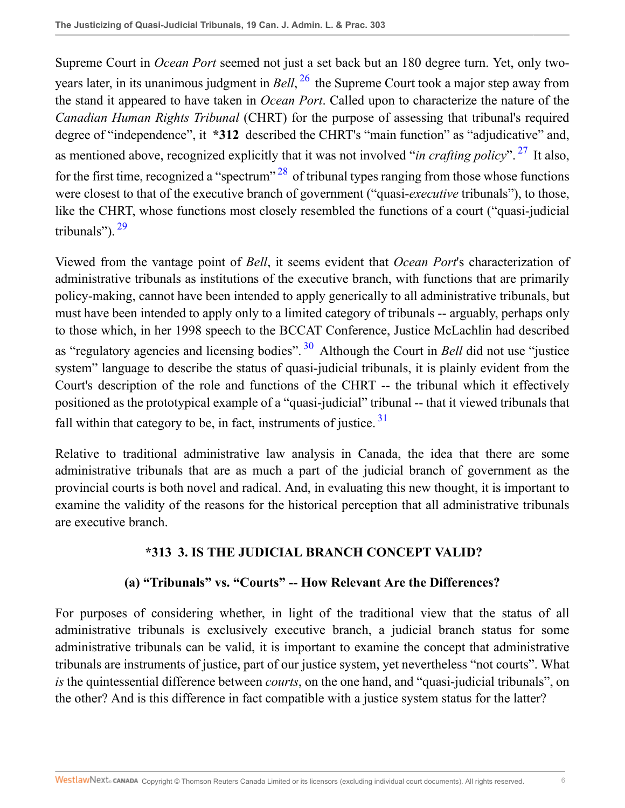<span id="page-5-1"></span><span id="page-5-0"></span>Supreme Court in *Ocean Port* seemed not just a set back but an 180 degree turn. Yet, only twoyears later, in its unanimous judgment in *Bell*, [26](#page-25-7) the Supreme Court took a major step away from the stand it appeared to have taken in *Ocean Port*. Called upon to characterize the nature of the *Canadian Human Rights Tribunal* (CHRT) for the purpose of assessing that tribunal's required degree of "independence", it **\*312** described the CHRT's "main function" as "adjudicative" and, as mentioned above, recognized explicitly that it was not involved "*in crafting policy*". [27](#page-25-8) It also, for the first time, recognized a "spectrum"  $^{28}$  $^{28}$  $^{28}$  of tribunal types ranging from those whose functions were closest to that of the executive branch of government ("quasi-*executive* tribunals"), to those, like the CHRT, whose functions most closely resembled the functions of a court ("quasi-judicial tribunals").<sup>[29](#page-25-10)</sup>

<span id="page-5-3"></span><span id="page-5-2"></span>Viewed from the vantage point of *Bell*, it seems evident that *Ocean Port*'s characterization of administrative tribunals as institutions of the executive branch, with functions that are primarily policy-making, cannot have been intended to apply generically to all administrative tribunals, but must have been intended to apply only to a limited category of tribunals -- arguably, perhaps only to those which, in her 1998 speech to the BCCAT Conference, Justice McLachlin had described as "regulatory agencies and licensing bodies". [30](#page-25-11) Although the Court in *Bell* did not use "justice system" language to describe the status of quasi-judicial tribunals, it is plainly evident from the Court's description of the role and functions of the CHRT -- the tribunal which it effectively positioned as the prototypical example of a "quasi-judicial" tribunal -- that it viewed tribunals that fall within that category to be, in fact, instruments of justice.  $31$ 

Relative to traditional administrative law analysis in Canada, the idea that there are some administrative tribunals that are as much a part of the judicial branch of government as the provincial courts is both novel and radical. And, in evaluating this new thought, it is important to examine the validity of the reasons for the historical perception that all administrative tribunals are executive branch.

### <span id="page-5-5"></span><span id="page-5-4"></span>**\*313 3. IS THE JUDICIAL BRANCH CONCEPT VALID?**

### **(a) "Tribunals" vs. "Courts" -- How Relevant Are the Differences?**

For purposes of considering whether, in light of the traditional view that the status of all administrative tribunals is exclusively executive branch, a judicial branch status for some administrative tribunals can be valid, it is important to examine the concept that administrative tribunals are instruments of justice, part of our justice system, yet nevertheless "not courts". What *is* the quintessential difference between *courts*, on the one hand, and "quasi-judicial tribunals", on the other? And is this difference in fact compatible with a justice system status for the latter?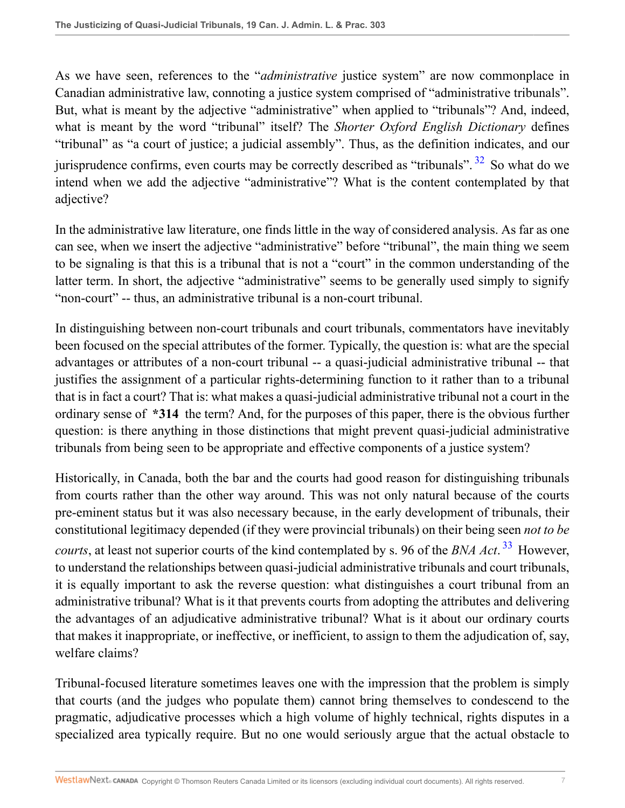As we have seen, references to the "*administrative* justice system" are now commonplace in Canadian administrative law, connoting a justice system comprised of "administrative tribunals". But, what is meant by the adjective "administrative" when applied to "tribunals"? And, indeed, what is meant by the word "tribunal" itself? The *Shorter Oxford English Dictionary* defines "tribunal" as "a court of justice; a judicial assembly". Thus, as the definition indicates, and our jurisprudence confirms, even courts may be correctly described as "tribunals".  $32$  So what do we intend when we add the adjective "administrative"? What is the content contemplated by that adjective?

<span id="page-6-0"></span>In the administrative law literature, one finds little in the way of considered analysis. As far as one can see, when we insert the adjective "administrative" before "tribunal", the main thing we seem to be signaling is that this is a tribunal that is not a "court" in the common understanding of the latter term. In short, the adjective "administrative" seems to be generally used simply to signify "non-court" -- thus, an administrative tribunal is a non-court tribunal.

In distinguishing between non-court tribunals and court tribunals, commentators have inevitably been focused on the special attributes of the former. Typically, the question is: what are the special advantages or attributes of a non-court tribunal -- a quasi-judicial administrative tribunal -- that justifies the assignment of a particular rights-determining function to it rather than to a tribunal that is in fact a court? That is: what makes a quasi-judicial administrative tribunal not a court in the ordinary sense of **\*314** the term? And, for the purposes of this paper, there is the obvious further question: is there anything in those distinctions that might prevent quasi-judicial administrative tribunals from being seen to be appropriate and effective components of a justice system?

<span id="page-6-1"></span>Historically, in Canada, both the bar and the courts had good reason for distinguishing tribunals from courts rather than the other way around. This was not only natural because of the courts pre-eminent status but it was also necessary because, in the early development of tribunals, their constitutional legitimacy depended (if they were provincial tribunals) on their being seen *not to be courts*, at least not superior courts of the kind contemplated by s. 96 of the *BNA Act*. [33](#page-25-14) However, to understand the relationships between quasi-judicial administrative tribunals and court tribunals, it is equally important to ask the reverse question: what distinguishes a court tribunal from an administrative tribunal? What is it that prevents courts from adopting the attributes and delivering the advantages of an adjudicative administrative tribunal? What is it about our ordinary courts that makes it inappropriate, or ineffective, or inefficient, to assign to them the adjudication of, say, welfare claims?

Tribunal-focused literature sometimes leaves one with the impression that the problem is simply that courts (and the judges who populate them) cannot bring themselves to condescend to the pragmatic, adjudicative processes which a high volume of highly technical, rights disputes in a specialized area typically require. But no one would seriously argue that the actual obstacle to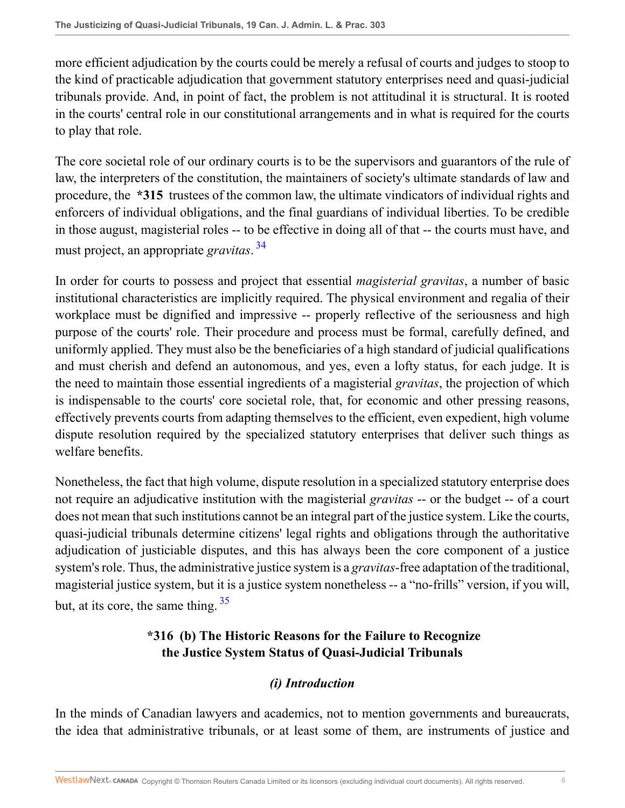more efficient adjudication by the courts could be merely a refusal of courts and judges to stoop to the kind of practicable adjudication that government statutory enterprises need and quasi-judicial tribunals provide. And, in point of fact, the problem is not attitudinal it is structural. It is rooted in the courts' central role in our constitutional arrangements and in what is required for the courts to play that role.

The core societal role of our ordinary courts is to be the supervisors and guarantors of the rule of law, the interpreters of the constitution, the maintainers of society's ultimate standards of law and procedure, the **\*315** trustees of the common law, the ultimate vindicators of individual rights and enforcers of individual obligations, and the final guardians of individual liberties. To be credible in those august, magisterial roles -- to be effective in doing all of that -- the courts must have, and must project, an appropriate *gravitas*. [34](#page-25-15)

<span id="page-7-0"></span>In order for courts to possess and project that essential *magisterial gravitas*, a number of basic institutional characteristics are implicitly required. The physical environment and regalia of their workplace must be dignified and impressive -- properly reflective of the seriousness and high purpose of the courts' role. Their procedure and process must be formal, carefully defined, and uniformly applied. They must also be the beneficiaries of a high standard of judicial qualifications and must cherish and defend an autonomous, and yes, even a lofty status, for each judge. It is the need to maintain those essential ingredients of a magisterial *gravitas*, the projection of which is indispensable to the courts' core societal role, that, for economic and other pressing reasons, effectively prevents courts from adapting themselves to the efficient, even expedient, high volume dispute resolution required by the specialized statutory enterprises that deliver such things as welfare benefits.

Nonetheless, the fact that high volume, dispute resolution in a specialized statutory enterprise does not require an adjudicative institution with the magisterial *gravitas* -- or the budget -- of a court does not mean that such institutions cannot be an integral part of the justice system. Like the courts, quasi-judicial tribunals determine citizens' legal rights and obligations through the authoritative adjudication of justiciable disputes, and this has always been the core component of a justice system's role. Thus, the administrative justice system is a *gravitas*-free adaptation of the traditional, magisterial justice system, but it is a justice system nonetheless -- a "no-frills" version, if you will, but, at its core, the same thing. [35](#page-26-0)

## <span id="page-7-1"></span>**\*316 (b) The Historic Reasons for the Failure to Recognize the Justice System Status of Quasi-Judicial Tribunals**

# *(i) Introduction*

In the minds of Canadian lawyers and academics, not to mention governments and bureaucrats, the idea that administrative tribunals, or at least some of them, are instruments of justice and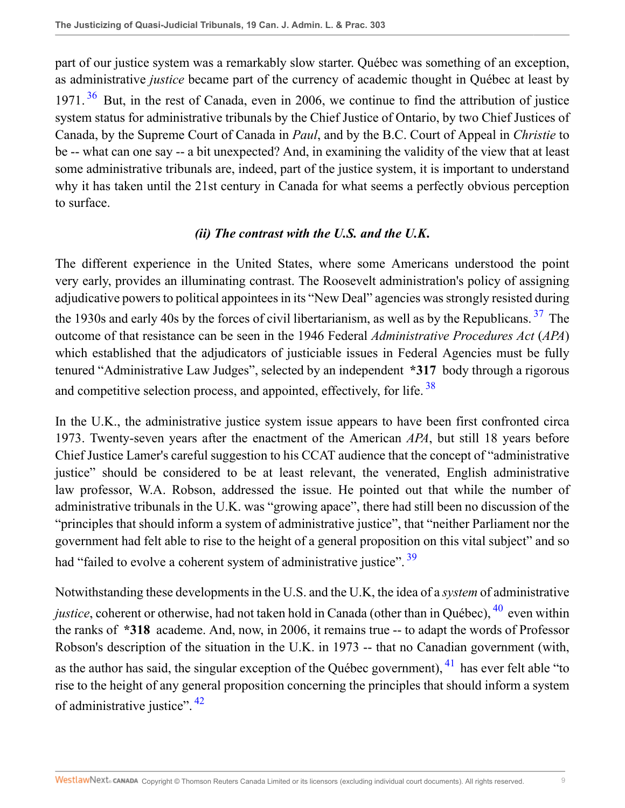<span id="page-8-0"></span>part of our justice system was a remarkably slow starter. Québec was something of an exception, as administrative *justice* became part of the currency of academic thought in Québec at least by 1971.<sup>[36](#page-26-1)</sup> But, in the rest of Canada, even in 2006, we continue to find the attribution of justice system status for administrative tribunals by the Chief Justice of Ontario, by two Chief Justices of Canada, by the Supreme Court of Canada in *Paul*, and by the B.C. Court of Appeal in *Christie* to be -- what can one say -- a bit unexpected? And, in examining the validity of the view that at least some administrative tribunals are, indeed, part of the justice system, it is important to understand why it has taken until the 21st century in Canada for what seems a perfectly obvious perception to surface.

#### <span id="page-8-2"></span><span id="page-8-1"></span>*(ii) The contrast with the U.S. and the U.K***.**

The different experience in the United States, where some Americans understood the point very early, provides an illuminating contrast. The Roosevelt administration's policy of assigning adjudicative powers to political appointees in its "New Deal" agencies was strongly resisted during the 1930s and early 40s by the forces of civil libertarianism, as well as by the Republicans.<sup>[37](#page-26-2)</sup> The outcome of that resistance can be seen in the 1946 Federal *Administrative Procedures Act* (*APA*) which established that the adjudicators of justiciable issues in Federal Agencies must be fully tenured "Administrative Law Judges", selected by an independent **\*317** body through a rigorous and competitive selection process, and appointed, effectively, for life. <sup>[38](#page-26-3)</sup>

In the U.K., the administrative justice system issue appears to have been first confronted circa 1973. Twenty-seven years after the enactment of the American *APA*, but still 18 years before Chief Justice Lamer's careful suggestion to his CCAT audience that the concept of "administrative justice" should be considered to be at least relevant, the venerated, English administrative law professor, W.A. Robson, addressed the issue. He pointed out that while the number of administrative tribunals in the U.K. was "growing apace", there had still been no discussion of the "principles that should inform a system of administrative justice", that "neither Parliament nor the government had felt able to rise to the height of a general proposition on this vital subject" and so had "failed to evolve a coherent system of administrative justice". <sup>[39](#page-26-4)</sup>

<span id="page-8-6"></span><span id="page-8-5"></span><span id="page-8-4"></span><span id="page-8-3"></span>Notwithstanding these developments in the U.S. and the U.K, the idea of a *system* of administrative *justice*, coherent or otherwise, had not taken hold in Canada (other than in Québec), <sup>[40](#page-26-5)</sup> even within the ranks of **\*318** academe. And, now, in 2006, it remains true -- to adapt the words of Professor Robson's description of the situation in the U.K. in 1973 -- that no Canadian government (with, as the author has said, the singular exception of the Québec government),  $^{41}$  $^{41}$  $^{41}$  has ever felt able "to" rise to the height of any general proposition concerning the principles that should inform a system of administrative justice". [42](#page-26-7)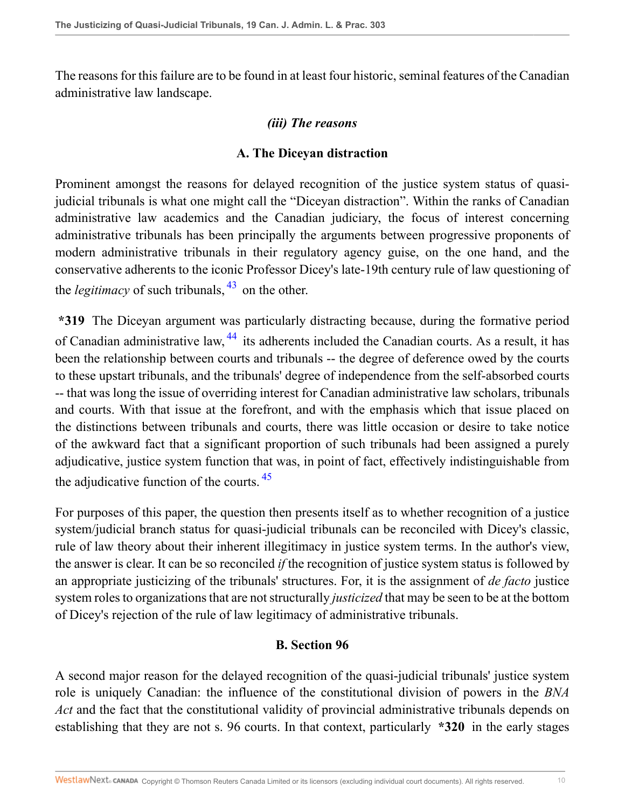The reasons for this failure are to be found in at least four historic, seminal features of the Canadian administrative law landscape.

#### *(iii) The reasons*

#### <span id="page-9-0"></span>**A. The Diceyan distraction**

Prominent amongst the reasons for delayed recognition of the justice system status of quasijudicial tribunals is what one might call the "Diceyan distraction". Within the ranks of Canadian administrative law academics and the Canadian judiciary, the focus of interest concerning administrative tribunals has been principally the arguments between progressive proponents of modern administrative tribunals in their regulatory agency guise, on the one hand, and the conservative adherents to the iconic Professor Dicey's late-19th century rule of law questioning of the *legitimacy* of such tribunals,  $43$  on the other.

<span id="page-9-1"></span>**\*319** The Diceyan argument was particularly distracting because, during the formative period of Canadian administrative law, <sup>[44](#page-26-9)</sup> its adherents included the Canadian courts. As a result, it has been the relationship between courts and tribunals -- the degree of deference owed by the courts to these upstart tribunals, and the tribunals' degree of independence from the self-absorbed courts -- that was long the issue of overriding interest for Canadian administrative law scholars, tribunals and courts. With that issue at the forefront, and with the emphasis which that issue placed on the distinctions between tribunals and courts, there was little occasion or desire to take notice of the awkward fact that a significant proportion of such tribunals had been assigned a purely adjudicative, justice system function that was, in point of fact, effectively indistinguishable from the adjudicative function of the courts. [45](#page-26-10)

For purposes of this paper, the question then presents itself as to whether recognition of a justice system/judicial branch status for quasi-judicial tribunals can be reconciled with Dicey's classic, rule of law theory about their inherent illegitimacy in justice system terms. In the author's view, the answer is clear. It can be so reconciled *if* the recognition of justice system status is followed by an appropriate justicizing of the tribunals' structures. For, it is the assignment of *de facto* justice system roles to organizations that are not structurally *justicized* that may be seen to be at the bottom of Dicey's rejection of the rule of law legitimacy of administrative tribunals.

#### <span id="page-9-2"></span>**B. Section 96**

A second major reason for the delayed recognition of the quasi-judicial tribunals' justice system role is uniquely Canadian: the influence of the constitutional division of powers in the *BNA Act* and the fact that the constitutional validity of provincial administrative tribunals depends on establishing that they are not s. 96 courts. In that context, particularly **\*320** in the early stages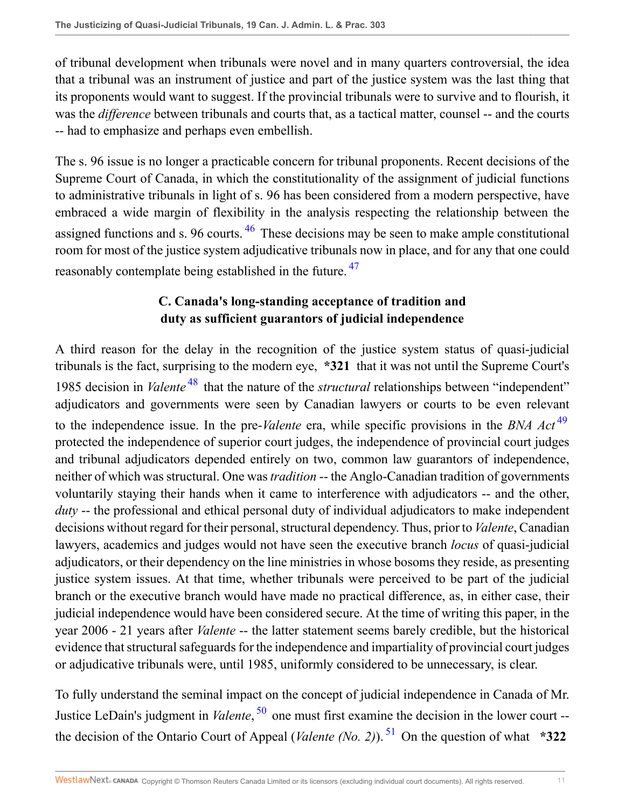of tribunal development when tribunals were novel and in many quarters controversial, the idea that a tribunal was an instrument of justice and part of the justice system was the last thing that its proponents would want to suggest. If the provincial tribunals were to survive and to flourish, it was the *difference* between tribunals and courts that, as a tactical matter, counsel -- and the courts -- had to emphasize and perhaps even embellish.

The s. 96 issue is no longer a practicable concern for tribunal proponents. Recent decisions of the Supreme Court of Canada, in which the constitutionality of the assignment of judicial functions to administrative tribunals in light of s. 96 has been considered from a modern perspective, have embraced a wide margin of flexibility in the analysis respecting the relationship between the assigned functions and s. 96 courts.  $46$  These decisions may be seen to make ample constitutional room for most of the justice system adjudicative tribunals now in place, and for any that one could reasonably contemplate being established in the future. <sup>[47](#page-27-1)</sup>

### <span id="page-10-3"></span><span id="page-10-2"></span><span id="page-10-1"></span><span id="page-10-0"></span>**C. Canada's long-standing acceptance of tradition and duty as sufficient guarantors of judicial independence**

A third reason for the delay in the recognition of the justice system status of quasi-judicial tribunals is the fact, surprising to the modern eye, **\*321** that it was not until the Supreme Court's 1985 decision in *Valente* [48](#page-27-2) that the nature of the *structural* relationships between "independent" adjudicators and governments were seen by Canadian lawyers or courts to be even relevant to the independence issue. In the pre-*Valente* era, while specific provisions in the *BNA Act* [49](#page-27-3) protected the independence of superior court judges, the independence of provincial court judges and tribunal adjudicators depended entirely on two, common law guarantors of independence, neither of which was structural. One was *tradition* -- the Anglo-Canadian tradition of governments voluntarily staying their hands when it came to interference with adjudicators -- and the other, *duty* -- the professional and ethical personal duty of individual adjudicators to make independent decisions without regard for their personal, structural dependency. Thus, prior to *Valente*, Canadian lawyers, academics and judges would not have seen the executive branch *locus* of quasi-judicial adjudicators, or their dependency on the line ministries in whose bosoms they reside, as presenting justice system issues. At that time, whether tribunals were perceived to be part of the judicial branch or the executive branch would have made no practical difference, as, in either case, their judicial independence would have been considered secure. At the time of writing this paper, in the year 2006 - 21 years after *Valente* -- the latter statement seems barely credible, but the historical evidence that structural safeguards for the independence and impartiality of provincial court judges or adjudicative tribunals were, until 1985, uniformly considered to be unnecessary, is clear.

<span id="page-10-5"></span><span id="page-10-4"></span>To fully understand the seminal impact on the concept of judicial independence in Canada of Mr. Justice LeDain's judgment in *Valente*, [50](#page-27-4) one must first examine the decision in the lower court - the decision of the Ontario Court of Appeal (*Valente (No. 2)*). [51](#page-27-5) On the question of what **\*322**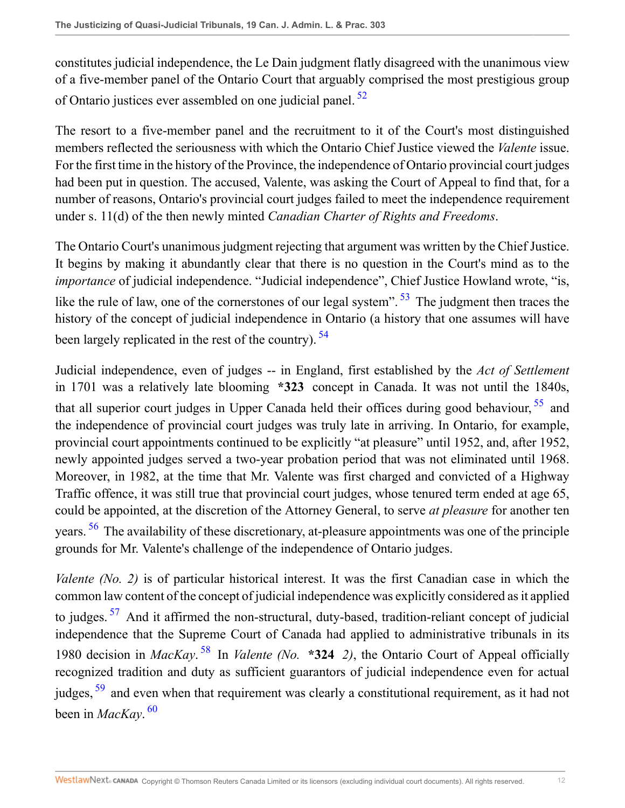<span id="page-11-0"></span>constitutes judicial independence, the Le Dain judgment flatly disagreed with the unanimous view of a five-member panel of the Ontario Court that arguably comprised the most prestigious group of Ontario justices ever assembled on one judicial panel. [52](#page-27-6)

The resort to a five-member panel and the recruitment to it of the Court's most distinguished members reflected the seriousness with which the Ontario Chief Justice viewed the *Valente* issue. For the first time in the history of the Province, the independence of Ontario provincial court judges had been put in question. The accused, Valente, was asking the Court of Appeal to find that, for a number of reasons, Ontario's provincial court judges failed to meet the independence requirement under s. 11(d) of the then newly minted *Canadian Charter of Rights and Freedoms*.

<span id="page-11-1"></span>The Ontario Court's unanimous judgment rejecting that argument was written by the Chief Justice. It begins by making it abundantly clear that there is no question in the Court's mind as to the *importance* of judicial independence. "Judicial independence", Chief Justice Howland wrote, "is, like the rule of law, one of the cornerstones of our legal system".  $53$  The judgment then traces the history of the concept of judicial independence in Ontario (a history that one assumes will have been largely replicated in the rest of the country). <sup>[54](#page-27-8)</sup>

<span id="page-11-3"></span><span id="page-11-2"></span>Judicial independence, even of judges -- in England, first established by the *Act of Settlement* in 1701 was a relatively late blooming **\*323** concept in Canada. It was not until the 1840s, that all superior court judges in Upper Canada held their offices during good behaviour, <sup>[55](#page-27-9)</sup> and the independence of provincial court judges was truly late in arriving. In Ontario, for example, provincial court appointments continued to be explicitly "at pleasure" until 1952, and, after 1952, newly appointed judges served a two-year probation period that was not eliminated until 1968. Moreover, in 1982, at the time that Mr. Valente was first charged and convicted of a Highway Traffic offence, it was still true that provincial court judges, whose tenured term ended at age 65, could be appointed, at the discretion of the Attorney General, to serve *at pleasure* for another ten years. <sup>[56](#page-27-10)</sup> The availability of these discretionary, at-pleasure appointments was one of the principle grounds for Mr. Valente's challenge of the independence of Ontario judges.

<span id="page-11-8"></span><span id="page-11-7"></span><span id="page-11-6"></span><span id="page-11-5"></span><span id="page-11-4"></span>*Valente (No. 2)* is of particular historical interest. It was the first Canadian case in which the common law content of the concept of judicial independence was explicitly considered as it applied to judges.<sup>[57](#page-28-0)</sup> And it affirmed the non-structural, duty-based, tradition-reliant concept of judicial independence that the Supreme Court of Canada had applied to administrative tribunals in its 1980 decision in *MacKay*. [58](#page-28-1) In *Valente (No.* **\*324** *2)*, the Ontario Court of Appeal officially recognized tradition and duty as sufficient guarantors of judicial independence even for actual judges, <sup>[59](#page-28-2)</sup> and even when that requirement was clearly a constitutional requirement, as it had not been in *MacKay*. [60](#page-28-3)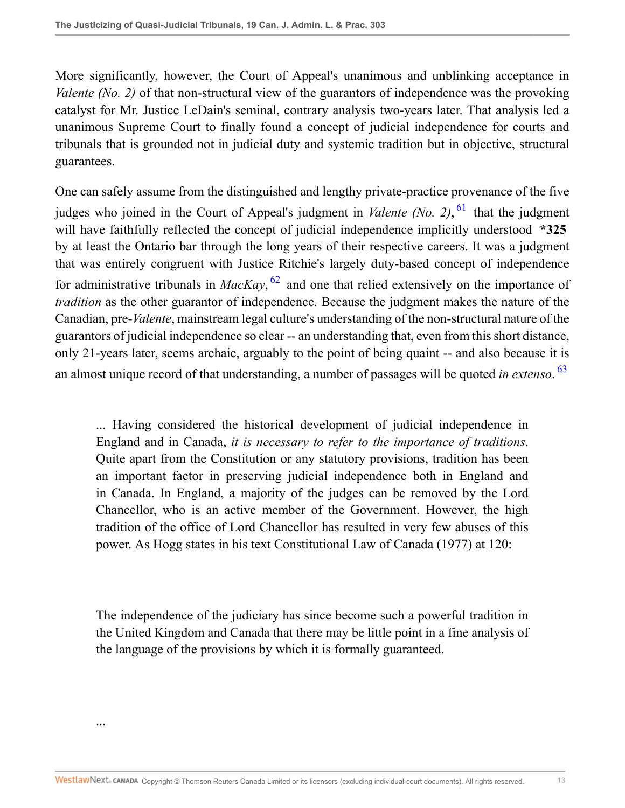More significantly, however, the Court of Appeal's unanimous and unblinking acceptance in *Valente (No. 2)* of that non-structural view of the guarantors of independence was the provoking catalyst for Mr. Justice LeDain's seminal, contrary analysis two-years later. That analysis led a unanimous Supreme Court to finally found a concept of judicial independence for courts and tribunals that is grounded not in judicial duty and systemic tradition but in objective, structural guarantees.

<span id="page-12-0"></span>One can safely assume from the distinguished and lengthy private-practice provenance of the five judges who joined in the Court of Appeal's judgment in *Valente (No. 2)*, <sup>[61](#page-28-4)</sup> that the judgment will have faithfully reflected the concept of judicial independence implicitly understood **\*325** by at least the Ontario bar through the long years of their respective careers. It was a judgment that was entirely congruent with Justice Ritchie's largely duty-based concept of independence for administrative tribunals in *MacKay*, [62](#page-28-5) and one that relied extensively on the importance of *tradition* as the other guarantor of independence. Because the judgment makes the nature of the Canadian, pre-*Valente*, mainstream legal culture's understanding of the non-structural nature of the guarantors of judicial independence so clear -- an understanding that, even from this short distance, only 21-years later, seems archaic, arguably to the point of being quaint -- and also because it is an almost unique record of that understanding, a number of passages will be quoted *in extenso*. [63](#page-28-6)

<span id="page-12-2"></span><span id="page-12-1"></span>... Having considered the historical development of judicial independence in England and in Canada, *it is necessary to refer to the importance of traditions*. Quite apart from the Constitution or any statutory provisions, tradition has been an important factor in preserving judicial independence both in England and in Canada. In England, a majority of the judges can be removed by the Lord Chancellor, who is an active member of the Government. However, the high tradition of the office of Lord Chancellor has resulted in very few abuses of this power. As Hogg states in his text Constitutional Law of Canada (1977) at 120:

The independence of the judiciary has since become such a powerful tradition in the United Kingdom and Canada that there may be little point in a fine analysis of the language of the provisions by which it is formally guaranteed.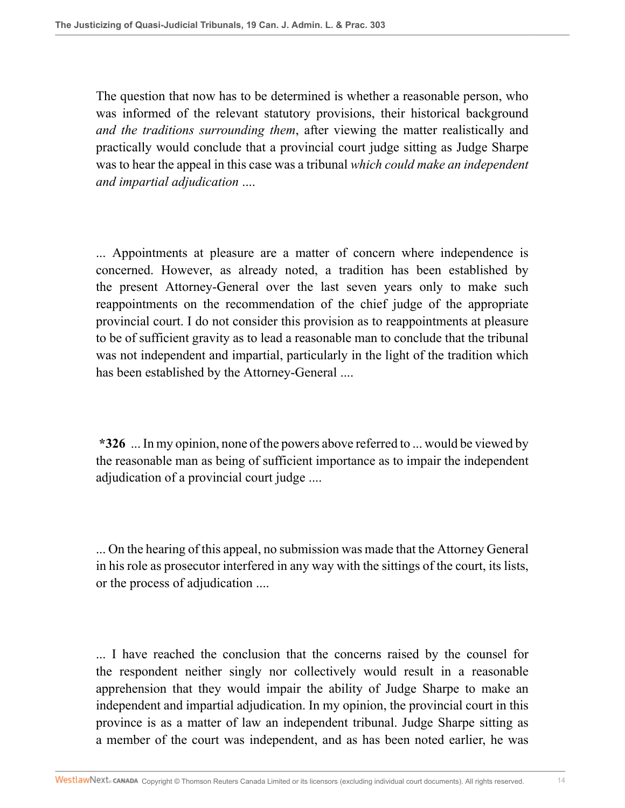The question that now has to be determined is whether a reasonable person, who was informed of the relevant statutory provisions, their historical background *and the traditions surrounding them*, after viewing the matter realistically and practically would conclude that a provincial court judge sitting as Judge Sharpe was to hear the appeal in this case was a tribunal *which could make an independent and impartial adjudication* ....

... Appointments at pleasure are a matter of concern where independence is concerned. However, as already noted, a tradition has been established by the present Attorney-General over the last seven years only to make such reappointments on the recommendation of the chief judge of the appropriate provincial court. I do not consider this provision as to reappointments at pleasure to be of sufficient gravity as to lead a reasonable man to conclude that the tribunal was not independent and impartial, particularly in the light of the tradition which has been established by the Attorney-General ....

**\*326** ... In my opinion, none of the powers above referred to ... would be viewed by the reasonable man as being of sufficient importance as to impair the independent adjudication of a provincial court judge ....

... On the hearing of this appeal, no submission was made that the Attorney General in his role as prosecutor interfered in any way with the sittings of the court, its lists, or the process of adjudication ....

... I have reached the conclusion that the concerns raised by the counsel for the respondent neither singly nor collectively would result in a reasonable apprehension that they would impair the ability of Judge Sharpe to make an independent and impartial adjudication. In my opinion, the provincial court in this province is as a matter of law an independent tribunal. Judge Sharpe sitting as a member of the court was independent, and as has been noted earlier, he was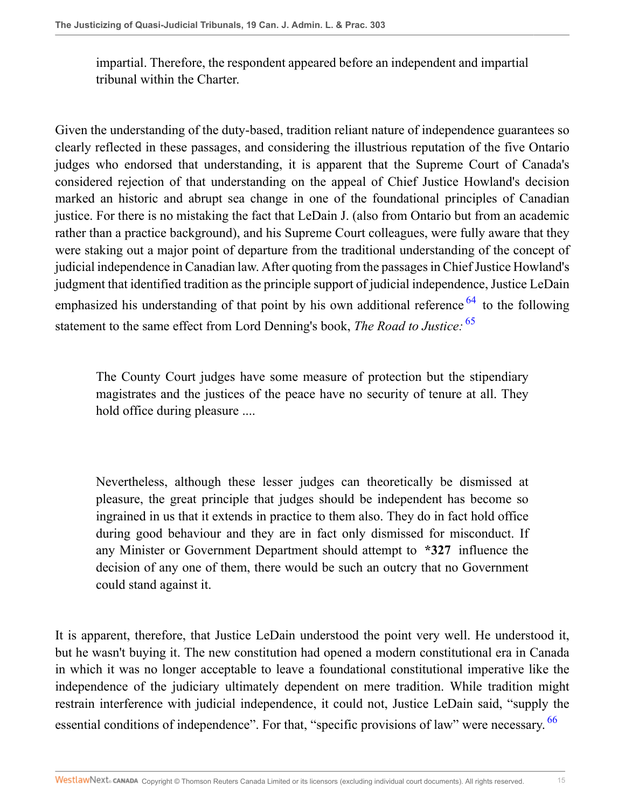impartial. Therefore, the respondent appeared before an independent and impartial tribunal within the Charter.

Given the understanding of the duty-based, tradition reliant nature of independence guarantees so clearly reflected in these passages, and considering the illustrious reputation of the five Ontario judges who endorsed that understanding, it is apparent that the Supreme Court of Canada's considered rejection of that understanding on the appeal of Chief Justice Howland's decision marked an historic and abrupt sea change in one of the foundational principles of Canadian justice. For there is no mistaking the fact that LeDain J. (also from Ontario but from an academic rather than a practice background), and his Supreme Court colleagues, were fully aware that they were staking out a major point of departure from the traditional understanding of the concept of judicial independence in Canadian law. After quoting from the passages in Chief Justice Howland's judgment that identified tradition as the principle support of judicial independence, Justice LeDain emphasized his understanding of that point by his own additional reference <sup>[64](#page-28-7)</sup> to the following statement to the same effect from Lord Denning's book, *The Road to Justice:* [65](#page-28-8)

<span id="page-14-1"></span><span id="page-14-0"></span>The County Court judges have some measure of protection but the stipendiary magistrates and the justices of the peace have no security of tenure at all. They hold office during pleasure ....

Nevertheless, although these lesser judges can theoretically be dismissed at pleasure, the great principle that judges should be independent has become so ingrained in us that it extends in practice to them also. They do in fact hold office during good behaviour and they are in fact only dismissed for misconduct. If any Minister or Government Department should attempt to **\*327** influence the decision of any one of them, there would be such an outcry that no Government could stand against it.

<span id="page-14-2"></span>It is apparent, therefore, that Justice LeDain understood the point very well. He understood it, but he wasn't buying it. The new constitution had opened a modern constitutional era in Canada in which it was no longer acceptable to leave a foundational constitutional imperative like the independence of the judiciary ultimately dependent on mere tradition. While tradition might restrain interference with judicial independence, it could not, Justice LeDain said, "supply the essential conditions of independence". For that, "specific provisions of law" were necessary. <sup>[66](#page-28-9)</sup>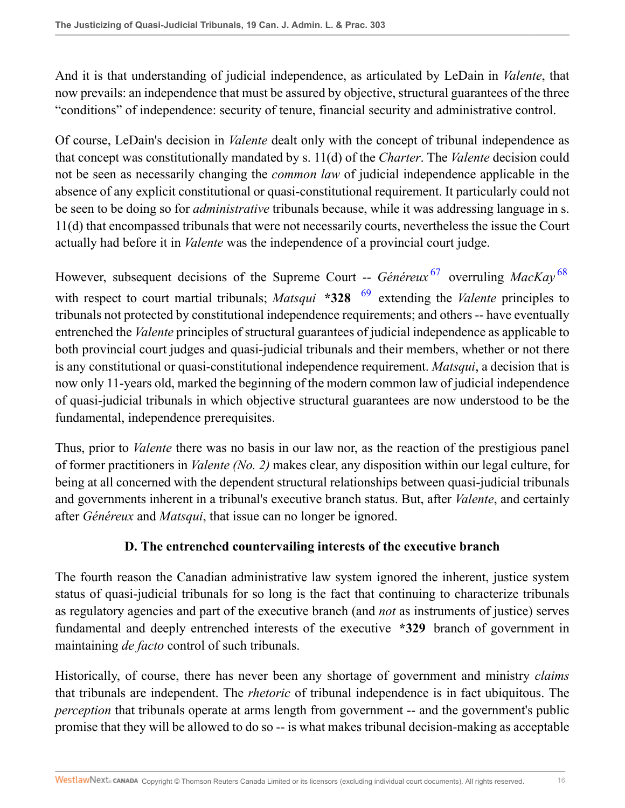And it is that understanding of judicial independence, as articulated by LeDain in *Valente*, that now prevails: an independence that must be assured by objective, structural guarantees of the three "conditions" of independence: security of tenure, financial security and administrative control.

Of course, LeDain's decision in *Valente* dealt only with the concept of tribunal independence as that concept was constitutionally mandated by s. 11(d) of the *Charter*. The *Valente* decision could not be seen as necessarily changing the *common law* of judicial independence applicable in the absence of any explicit constitutional or quasi-constitutional requirement. It particularly could not be seen to be doing so for *administrative* tribunals because, while it was addressing language in s. 11(d) that encompassed tribunals that were not necessarily courts, nevertheless the issue the Court actually had before it in *Valente* was the independence of a provincial court judge.

<span id="page-15-2"></span><span id="page-15-1"></span><span id="page-15-0"></span>However, subsequent decisions of the Supreme Court -- *Généreux*<sup>[67](#page-28-10)</sup> overruling *MacKay*<sup>[68](#page-28-11)</sup> with respect to court martial tribunals; *Matsqui* **\*328** <sup>[69](#page-29-0)</sup> extending the *Valente* principles to tribunals not protected by constitutional independence requirements; and others -- have eventually entrenched the *Valente* principles of structural guarantees of judicial independence as applicable to both provincial court judges and quasi-judicial tribunals and their members, whether or not there is any constitutional or quasi-constitutional independence requirement. *Matsqui*, a decision that is now only 11-years old, marked the beginning of the modern common law of judicial independence of quasi-judicial tribunals in which objective structural guarantees are now understood to be the fundamental, independence prerequisites.

Thus, prior to *Valente* there was no basis in our law nor, as the reaction of the prestigious panel of former practitioners in *Valente (No. 2)* makes clear, any disposition within our legal culture, for being at all concerned with the dependent structural relationships between quasi-judicial tribunals and governments inherent in a tribunal's executive branch status. But, after *Valente*, and certainly after *Généreux* and *Matsqui*, that issue can no longer be ignored.

### **D. The entrenched countervailing interests of the executive branch**

The fourth reason the Canadian administrative law system ignored the inherent, justice system status of quasi-judicial tribunals for so long is the fact that continuing to characterize tribunals as regulatory agencies and part of the executive branch (and *not* as instruments of justice) serves fundamental and deeply entrenched interests of the executive **\*329** branch of government in maintaining *de facto* control of such tribunals.

Historically, of course, there has never been any shortage of government and ministry *claims* that tribunals are independent. The *rhetoric* of tribunal independence is in fact ubiquitous. The *perception* that tribunals operate at arms length from government -- and the government's public promise that they will be allowed to do so -- is what makes tribunal decision-making as acceptable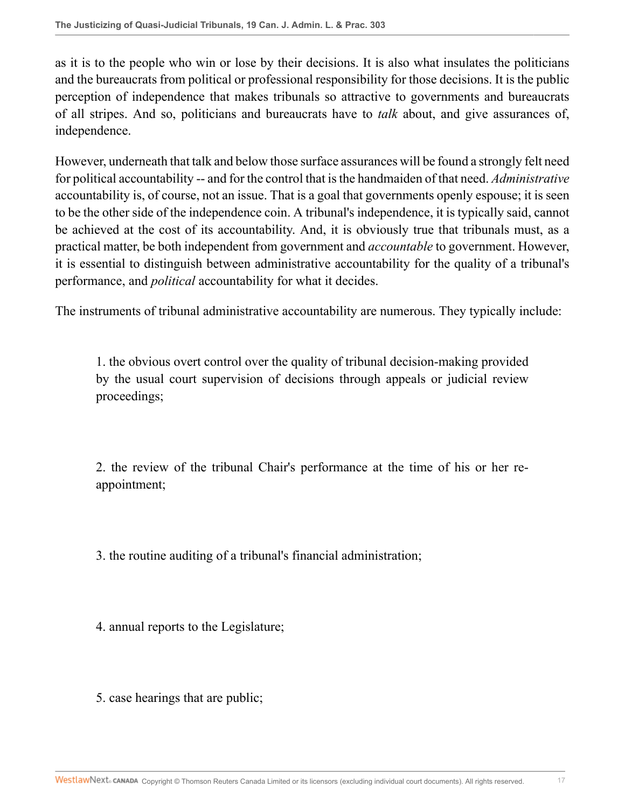as it is to the people who win or lose by their decisions. It is also what insulates the politicians and the bureaucrats from political or professional responsibility for those decisions. It is the public perception of independence that makes tribunals so attractive to governments and bureaucrats of all stripes. And so, politicians and bureaucrats have to *talk* about, and give assurances of, independence.

However, underneath that talk and below those surface assurances will be found a strongly felt need for political accountability -- and for the control that is the handmaiden of that need. *Administrative* accountability is, of course, not an issue. That is a goal that governments openly espouse; it is seen to be the other side of the independence coin. A tribunal's independence, it is typically said, cannot be achieved at the cost of its accountability. And, it is obviously true that tribunals must, as a practical matter, be both independent from government and *accountable* to government. However, it is essential to distinguish between administrative accountability for the quality of a tribunal's performance, and *political* accountability for what it decides.

The instruments of tribunal administrative accountability are numerous. They typically include:

1. the obvious overt control over the quality of tribunal decision-making provided by the usual court supervision of decisions through appeals or judicial review proceedings;

2. the review of the tribunal Chair's performance at the time of his or her reappointment;

3. the routine auditing of a tribunal's financial administration;

4. annual reports to the Legislature;

5. case hearings that are public;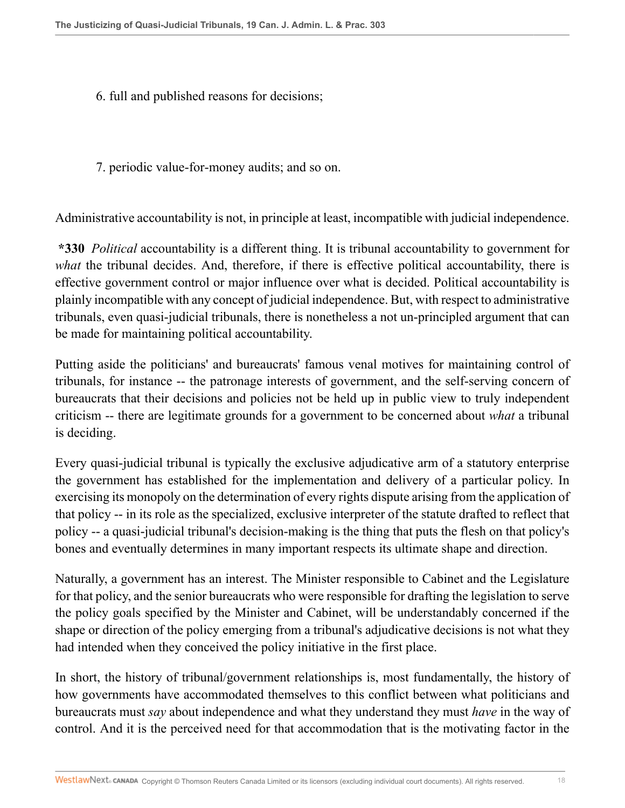- 6. full and published reasons for decisions;
- 7. periodic value-for-money audits; and so on.

Administrative accountability is not, in principle at least, incompatible with judicial independence.

**\*330** *Political* accountability is a different thing. It is tribunal accountability to government for *what* the tribunal decides. And, therefore, if there is effective political accountability, there is effective government control or major influence over what is decided. Political accountability is plainly incompatible with any concept of judicial independence. But, with respect to administrative tribunals, even quasi-judicial tribunals, there is nonetheless a not un-principled argument that can be made for maintaining political accountability.

Putting aside the politicians' and bureaucrats' famous venal motives for maintaining control of tribunals, for instance -- the patronage interests of government, and the self-serving concern of bureaucrats that their decisions and policies not be held up in public view to truly independent criticism -- there are legitimate grounds for a government to be concerned about *what* a tribunal is deciding.

Every quasi-judicial tribunal is typically the exclusive adjudicative arm of a statutory enterprise the government has established for the implementation and delivery of a particular policy. In exercising its monopoly on the determination of every rights dispute arising from the application of that policy -- in its role as the specialized, exclusive interpreter of the statute drafted to reflect that policy -- a quasi-judicial tribunal's decision-making is the thing that puts the flesh on that policy's bones and eventually determines in many important respects its ultimate shape and direction.

Naturally, a government has an interest. The Minister responsible to Cabinet and the Legislature for that policy, and the senior bureaucrats who were responsible for drafting the legislation to serve the policy goals specified by the Minister and Cabinet, will be understandably concerned if the shape or direction of the policy emerging from a tribunal's adjudicative decisions is not what they had intended when they conceived the policy initiative in the first place.

In short, the history of tribunal/government relationships is, most fundamentally, the history of how governments have accommodated themselves to this conflict between what politicians and bureaucrats must *say* about independence and what they understand they must *have* in the way of control. And it is the perceived need for that accommodation that is the motivating factor in the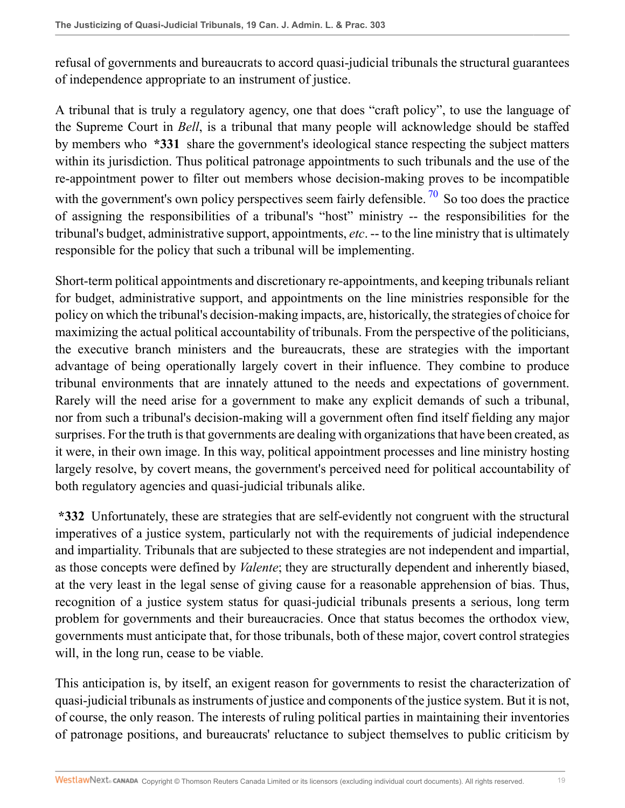refusal of governments and bureaucrats to accord quasi-judicial tribunals the structural guarantees of independence appropriate to an instrument of justice.

<span id="page-18-0"></span>A tribunal that is truly a regulatory agency, one that does "craft policy", to use the language of the Supreme Court in *Bell*, is a tribunal that many people will acknowledge should be staffed by members who **\*331** share the government's ideological stance respecting the subject matters within its jurisdiction. Thus political patronage appointments to such tribunals and the use of the re-appointment power to filter out members whose decision-making proves to be incompatible with the government's own policy perspectives seem fairly defensible.  $\frac{70}{10}$  $\frac{70}{10}$  $\frac{70}{10}$  So too does the practice of assigning the responsibilities of a tribunal's "host" ministry -- the responsibilities for the tribunal's budget, administrative support, appointments, *etc*. -- to the line ministry that is ultimately responsible for the policy that such a tribunal will be implementing.

Short-term political appointments and discretionary re-appointments, and keeping tribunals reliant for budget, administrative support, and appointments on the line ministries responsible for the policy on which the tribunal's decision-making impacts, are, historically, the strategies of choice for maximizing the actual political accountability of tribunals. From the perspective of the politicians, the executive branch ministers and the bureaucrats, these are strategies with the important advantage of being operationally largely covert in their influence. They combine to produce tribunal environments that are innately attuned to the needs and expectations of government. Rarely will the need arise for a government to make any explicit demands of such a tribunal, nor from such a tribunal's decision-making will a government often find itself fielding any major surprises. For the truth is that governments are dealing with organizations that have been created, as it were, in their own image. In this way, political appointment processes and line ministry hosting largely resolve, by covert means, the government's perceived need for political accountability of both regulatory agencies and quasi-judicial tribunals alike.

**\*332** Unfortunately, these are strategies that are self-evidently not congruent with the structural imperatives of a justice system, particularly not with the requirements of judicial independence and impartiality. Tribunals that are subjected to these strategies are not independent and impartial, as those concepts were defined by *Valente*; they are structurally dependent and inherently biased, at the very least in the legal sense of giving cause for a reasonable apprehension of bias. Thus, recognition of a justice system status for quasi-judicial tribunals presents a serious, long term problem for governments and their bureaucracies. Once that status becomes the orthodox view, governments must anticipate that, for those tribunals, both of these major, covert control strategies will, in the long run, cease to be viable.

This anticipation is, by itself, an exigent reason for governments to resist the characterization of quasi-judicial tribunals as instruments of justice and components of the justice system. But it is not, of course, the only reason. The interests of ruling political parties in maintaining their inventories of patronage positions, and bureaucrats' reluctance to subject themselves to public criticism by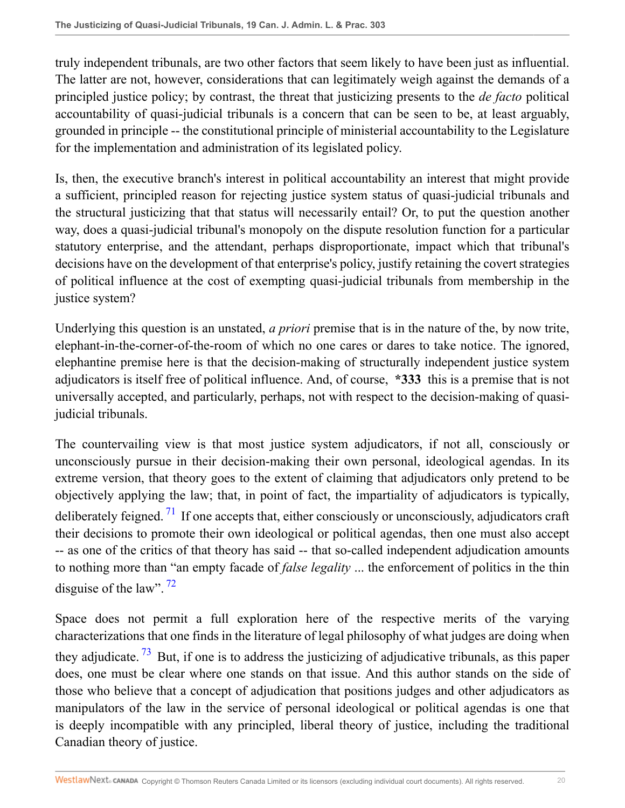truly independent tribunals, are two other factors that seem likely to have been just as influential. The latter are not, however, considerations that can legitimately weigh against the demands of a principled justice policy; by contrast, the threat that justicizing presents to the *de facto* political accountability of quasi-judicial tribunals is a concern that can be seen to be, at least arguably, grounded in principle -- the constitutional principle of ministerial accountability to the Legislature for the implementation and administration of its legislated policy.

Is, then, the executive branch's interest in political accountability an interest that might provide a sufficient, principled reason for rejecting justice system status of quasi-judicial tribunals and the structural justicizing that that status will necessarily entail? Or, to put the question another way, does a quasi-judicial tribunal's monopoly on the dispute resolution function for a particular statutory enterprise, and the attendant, perhaps disproportionate, impact which that tribunal's decisions have on the development of that enterprise's policy, justify retaining the covert strategies of political influence at the cost of exempting quasi-judicial tribunals from membership in the justice system?

Underlying this question is an unstated, *a priori* premise that is in the nature of the, by now trite, elephant-in-the-corner-of-the-room of which no one cares or dares to take notice. The ignored, elephantine premise here is that the decision-making of structurally independent justice system adjudicators is itself free of political influence. And, of course, **\*333** this is a premise that is not universally accepted, and particularly, perhaps, not with respect to the decision-making of quasijudicial tribunals.

<span id="page-19-0"></span>The countervailing view is that most justice system adjudicators, if not all, consciously or unconsciously pursue in their decision-making their own personal, ideological agendas. In its extreme version, that theory goes to the extent of claiming that adjudicators only pretend to be objectively applying the law; that, in point of fact, the impartiality of adjudicators is typically, deliberately feigned. <sup>[71](#page-29-2)</sup> If one accepts that, either consciously or unconsciously, adjudicators craft their decisions to promote their own ideological or political agendas, then one must also accept -- as one of the critics of that theory has said -- that so-called independent adjudication amounts to nothing more than "an empty facade of *false legality* ... the enforcement of politics in the thin disguise of the law". <sup>[72](#page-29-3)</sup>

<span id="page-19-2"></span><span id="page-19-1"></span>Space does not permit a full exploration here of the respective merits of the varying characterizations that one finds in the literature of legal philosophy of what judges are doing when they adjudicate.  $^{73}$  $^{73}$  $^{73}$  But, if one is to address the justicizing of adjudicative tribunals, as this paper does, one must be clear where one stands on that issue. And this author stands on the side of those who believe that a concept of adjudication that positions judges and other adjudicators as manipulators of the law in the service of personal ideological or political agendas is one that is deeply incompatible with any principled, liberal theory of justice, including the traditional Canadian theory of justice.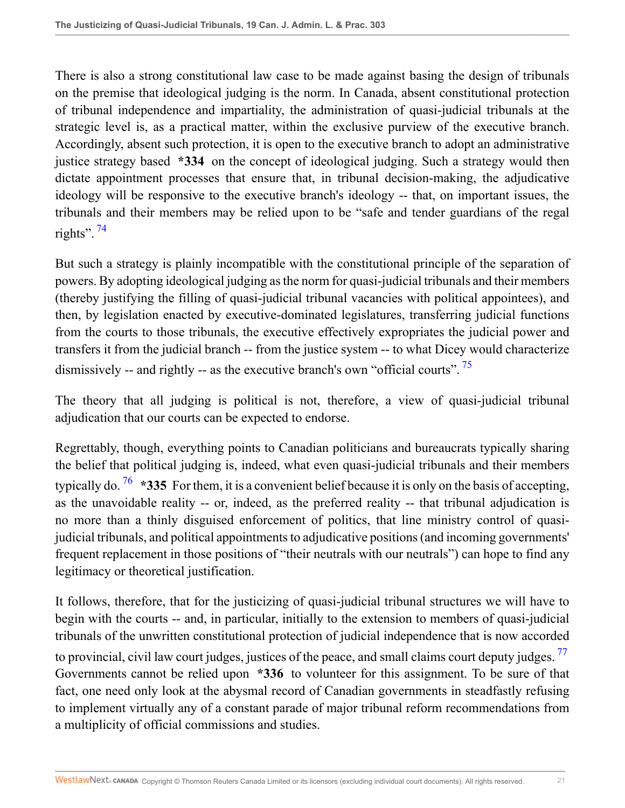There is also a strong constitutional law case to be made against basing the design of tribunals on the premise that ideological judging is the norm. In Canada, absent constitutional protection of tribunal independence and impartiality, the administration of quasi-judicial tribunals at the strategic level is, as a practical matter, within the exclusive purview of the executive branch. Accordingly, absent such protection, it is open to the executive branch to adopt an administrative justice strategy based **\*334** on the concept of ideological judging. Such a strategy would then dictate appointment processes that ensure that, in tribunal decision-making, the adjudicative ideology will be responsive to the executive branch's ideology -- that, on important issues, the tribunals and their members may be relied upon to be "safe and tender guardians of the regal rights".  $74$ 

<span id="page-20-0"></span>But such a strategy is plainly incompatible with the constitutional principle of the separation of powers. By adopting ideological judging as the norm for quasi-judicial tribunals and their members (thereby justifying the filling of quasi-judicial tribunal vacancies with political appointees), and then, by legislation enacted by executive-dominated legislatures, transferring judicial functions from the courts to those tribunals, the executive effectively expropriates the judicial power and transfers it from the judicial branch -- from the justice system -- to what Dicey would characterize dismissively -- and rightly -- as the executive branch's own "official courts".<sup>[75](#page-29-6)</sup>

<span id="page-20-1"></span>The theory that all judging is political is not, therefore, a view of quasi-judicial tribunal adjudication that our courts can be expected to endorse.

<span id="page-20-2"></span>Regrettably, though, everything points to Canadian politicians and bureaucrats typically sharing the belief that political judging is, indeed, what even quasi-judicial tribunals and their members typically do. <sup>[76](#page-29-7)</sup> \*335 For them, it is a convenient belief because it is only on the basis of accepting, as the unavoidable reality -- or, indeed, as the preferred reality -- that tribunal adjudication is no more than a thinly disguised enforcement of politics, that line ministry control of quasijudicial tribunals, and political appointments to adjudicative positions (and incoming governments' frequent replacement in those positions of "their neutrals with our neutrals") can hope to find any legitimacy or theoretical justification.

<span id="page-20-3"></span>It follows, therefore, that for the justicizing of quasi-judicial tribunal structures we will have to begin with the courts -- and, in particular, initially to the extension to members of quasi-judicial tribunals of the unwritten constitutional protection of judicial independence that is now accorded to provincial, civil law court judges, justices of the peace, and small claims court deputy judges.<sup>[77](#page-30-0)</sup> Governments cannot be relied upon **\*336** to volunteer for this assignment. To be sure of that fact, one need only look at the abysmal record of Canadian governments in steadfastly refusing to implement virtually any of a constant parade of major tribunal reform recommendations from a multiplicity of official commissions and studies.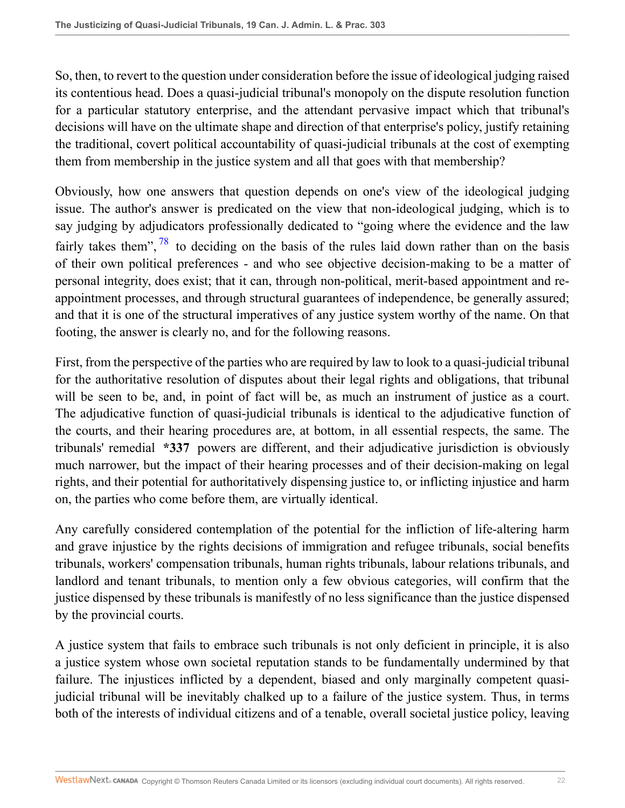So, then, to revert to the question under consideration before the issue of ideological judging raised its contentious head. Does a quasi-judicial tribunal's monopoly on the dispute resolution function for a particular statutory enterprise, and the attendant pervasive impact which that tribunal's decisions will have on the ultimate shape and direction of that enterprise's policy, justify retaining the traditional, covert political accountability of quasi-judicial tribunals at the cost of exempting them from membership in the justice system and all that goes with that membership?

<span id="page-21-0"></span>Obviously, how one answers that question depends on one's view of the ideological judging issue. The author's answer is predicated on the view that non-ideological judging, which is to say judging by adjudicators professionally dedicated to "going where the evidence and the law fairly takes them",  $\frac{78}{10}$  $\frac{78}{10}$  $\frac{78}{10}$  to deciding on the basis of the rules laid down rather than on the basis of their own political preferences - and who see objective decision-making to be a matter of personal integrity, does exist; that it can, through non-political, merit-based appointment and reappointment processes, and through structural guarantees of independence, be generally assured; and that it is one of the structural imperatives of any justice system worthy of the name. On that footing, the answer is clearly no, and for the following reasons.

First, from the perspective of the parties who are required by law to look to a quasi-judicial tribunal for the authoritative resolution of disputes about their legal rights and obligations, that tribunal will be seen to be, and, in point of fact will be, as much an instrument of justice as a court. The adjudicative function of quasi-judicial tribunals is identical to the adjudicative function of the courts, and their hearing procedures are, at bottom, in all essential respects, the same. The tribunals' remedial **\*337** powers are different, and their adjudicative jurisdiction is obviously much narrower, but the impact of their hearing processes and of their decision-making on legal rights, and their potential for authoritatively dispensing justice to, or inflicting injustice and harm on, the parties who come before them, are virtually identical.

Any carefully considered contemplation of the potential for the infliction of life-altering harm and grave injustice by the rights decisions of immigration and refugee tribunals, social benefits tribunals, workers' compensation tribunals, human rights tribunals, labour relations tribunals, and landlord and tenant tribunals, to mention only a few obvious categories, will confirm that the justice dispensed by these tribunals is manifestly of no less significance than the justice dispensed by the provincial courts.

A justice system that fails to embrace such tribunals is not only deficient in principle, it is also a justice system whose own societal reputation stands to be fundamentally undermined by that failure. The injustices inflicted by a dependent, biased and only marginally competent quasijudicial tribunal will be inevitably chalked up to a failure of the justice system. Thus, in terms both of the interests of individual citizens and of a tenable, overall societal justice policy, leaving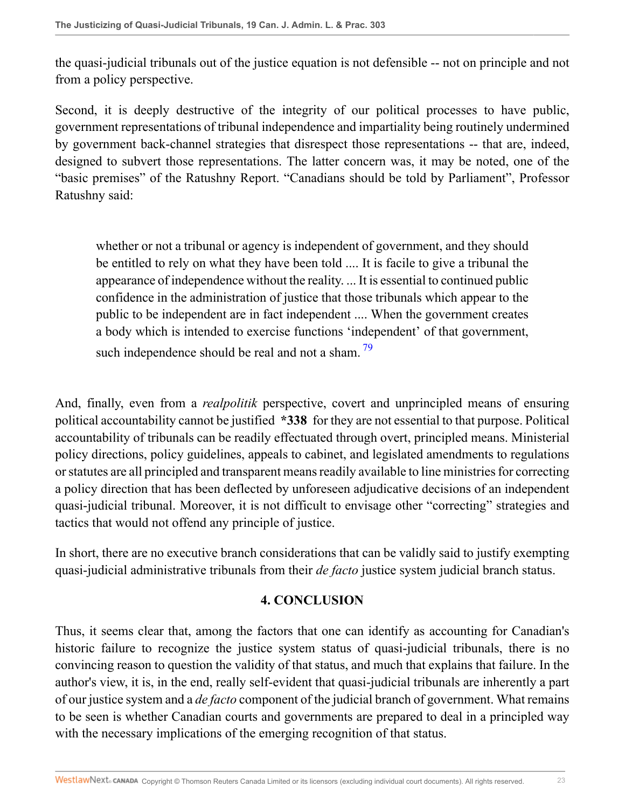the quasi-judicial tribunals out of the justice equation is not defensible -- not on principle and not from a policy perspective.

Second, it is deeply destructive of the integrity of our political processes to have public, government representations of tribunal independence and impartiality being routinely undermined by government back-channel strategies that disrespect those representations -- that are, indeed, designed to subvert those representations. The latter concern was, it may be noted, one of the "basic premises" of the Ratushny Report. "Canadians should be told by Parliament", Professor Ratushny said:

whether or not a tribunal or agency is independent of government, and they should be entitled to rely on what they have been told .... It is facile to give a tribunal the appearance of independence without the reality. ... It is essential to continued public confidence in the administration of justice that those tribunals which appear to the public to be independent are in fact independent .... When the government creates a body which is intended to exercise functions 'independent' of that government, such independence should be real and not a sham.  $\frac{79}{2}$  $\frac{79}{2}$  $\frac{79}{2}$ 

And, finally, even from a *realpolitik* perspective, covert and unprincipled means of ensuring political accountability cannot be justified **\*338** for they are not essential to that purpose. Political accountability of tribunals can be readily effectuated through overt, principled means. Ministerial policy directions, policy guidelines, appeals to cabinet, and legislated amendments to regulations or statutes are all principled and transparent means readily available to line ministries for correcting a policy direction that has been deflected by unforeseen adjudicative decisions of an independent quasi-judicial tribunal. Moreover, it is not difficult to envisage other "correcting" strategies and tactics that would not offend any principle of justice.

In short, there are no executive branch considerations that can be validly said to justify exempting quasi-judicial administrative tribunals from their *de facto* justice system judicial branch status.

#### <span id="page-22-0"></span>**4. CONCLUSION**

Thus, it seems clear that, among the factors that one can identify as accounting for Canadian's historic failure to recognize the justice system status of quasi-judicial tribunals, there is no convincing reason to question the validity of that status, and much that explains that failure. In the author's view, it is, in the end, really self-evident that quasi-judicial tribunals are inherently a part of our justice system and a *de facto* component of the judicial branch of government. What remains to be seen is whether Canadian courts and governments are prepared to deal in a principled way with the necessary implications of the emerging recognition of that status.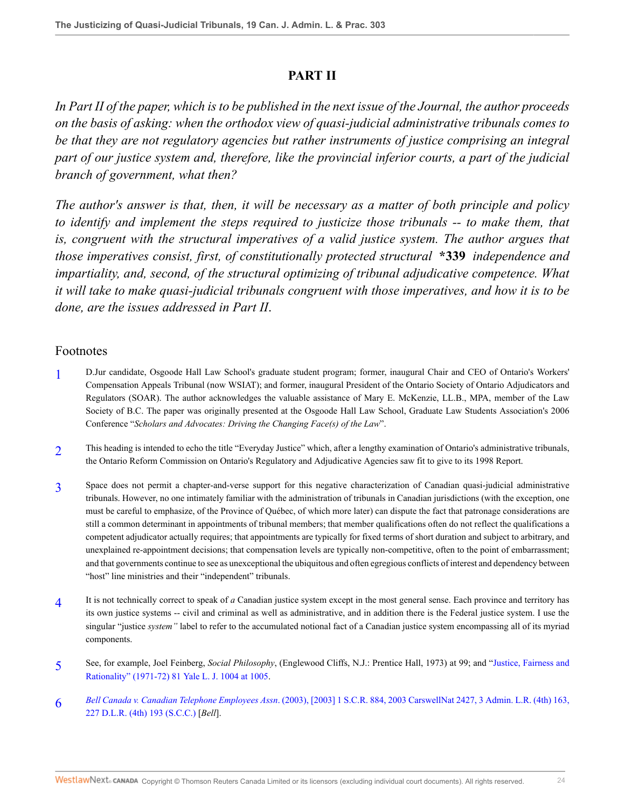#### **PART II**

*In Part II of the paper, which is to be published in the next issue of the Journal, the author proceeds on the basis of asking: when the orthodox view of quasi-judicial administrative tribunals comes to be that they are not regulatory agencies but rather instruments of justice comprising an integral part of our justice system and, therefore, like the provincial inferior courts, a part of the judicial branch of government, what then?*

*The author's answer is that, then, it will be necessary as a matter of both principle and policy to identify and implement the steps required to justicize those tribunals -- to make them, that is, congruent with the structural imperatives of a valid justice system. The author argues that those imperatives consist, first, of constitutionally protected structural* **\*339** *independence and impartiality, and, second, of the structural optimizing of tribunal adjudicative competence. What it will take to make quasi-judicial tribunals congruent with those imperatives, and how it is to be done, are the issues addressed in Part II*.

#### Footnotes

- <span id="page-23-0"></span>[1](#page-0-0) D.Jur candidate, Osgoode Hall Law School's graduate student program; former, inaugural Chair and CEO of Ontario's Workers' Compensation Appeals Tribunal (now WSIAT); and former, inaugural President of the Ontario Society of Ontario Adjudicators and Regulators (SOAR). The author acknowledges the valuable assistance of Mary E. McKenzie, LL.B., MPA, member of the Law Society of B.C. The paper was originally presented at the Osgoode Hall Law School, Graduate Law Students Association's 2006 Conference "*Scholars and Advocates: Driving the Changing Face(s) of the Law*".
- <span id="page-23-1"></span>[2](#page-0-1) This heading is intended to echo the title "Everyday Justice" which, after a lengthy examination of Ontario's administrative tribunals, the Ontario Reform Commission on Ontario's Regulatory and Adjudicative Agencies saw fit to give to its 1998 Report.
- <span id="page-23-2"></span>[3](#page-1-0) Space does not permit a chapter-and-verse support for this negative characterization of Canadian quasi-judicial administrative tribunals. However, no one intimately familiar with the administration of tribunals in Canadian jurisdictions (with the exception, one must be careful to emphasize, of the Province of Québec, of which more later) can dispute the fact that patronage considerations are still a common determinant in appointments of tribunal members; that member qualifications often do not reflect the qualifications a competent adjudicator actually requires; that appointments are typically for fixed terms of short duration and subject to arbitrary, and unexplained re-appointment decisions; that compensation levels are typically non-competitive, often to the point of embarrassment; and that governments continue to see as unexceptional the ubiquitous and often egregious conflicts of interest and dependency between "host" line ministries and their "independent" tribunals.
- <span id="page-23-3"></span>[4](#page-1-1) It is not technically correct to speak of *a* Canadian justice system except in the most general sense. Each province and territory has its own justice systems -- civil and criminal as well as administrative, and in addition there is the Federal justice system. I use the singular "justice *system"* label to refer to the accumulated notional fact of a Canadian justice system encompassing all of its myriad components.
- <span id="page-23-4"></span>[5](#page-1-2) See, for example, Joel Feinberg, *Social Philosophy*, (Englewood Cliffs, N.J.: Prentice Hall, 1973) at 99; and ["Justice, Fairness and](http://nextcanada.westlaw.com/Link/Document/FullText?findType=Y&serNum=0332686065&pubNum=1292&originatingDoc=I1c8009115b1711dbbe1cf2d29fe2afe6&refType=LR&fi=co_pp_sp_1292_1005&originationContext=document&vr=3.0&rs=cblt1.0&transitionType=DocumentItem&contextData=(sc.Search)#co_pp_sp_1292_1005) [Rationality" \(1971-72\) 81 Yale L. J. 1004 at 1005.](http://nextcanada.westlaw.com/Link/Document/FullText?findType=Y&serNum=0332686065&pubNum=1292&originatingDoc=I1c8009115b1711dbbe1cf2d29fe2afe6&refType=LR&fi=co_pp_sp_1292_1005&originationContext=document&vr=3.0&rs=cblt1.0&transitionType=DocumentItem&contextData=(sc.Search)#co_pp_sp_1292_1005)
- <span id="page-23-5"></span>[6](#page-1-3) *Bell Canada v. Canadian Telephone Employees Assn*[. \(2003\), \[2003\] 1 S.C.R. 884, 2003 CarswellNat 2427, 3 Admin. L.R. \(4th\) 163,](http://nextcanada.westlaw.com/Link/Document/FullText?findType=Y&serNum=2003060286&pubNum=5156&originatingDoc=I1c8009115b1711dbbe1cf2d29fe2afe6&refType=IC&originationContext=document&vr=3.0&rs=cblt1.0&transitionType=DocumentItem&contextData=(sc.Search)) [227 D.L.R. \(4th\) 193 \(S.C.C.\)](http://nextcanada.westlaw.com/Link/Document/FullText?findType=Y&serNum=2003060286&pubNum=5156&originatingDoc=I1c8009115b1711dbbe1cf2d29fe2afe6&refType=IC&originationContext=document&vr=3.0&rs=cblt1.0&transitionType=DocumentItem&contextData=(sc.Search)) [*Bell*].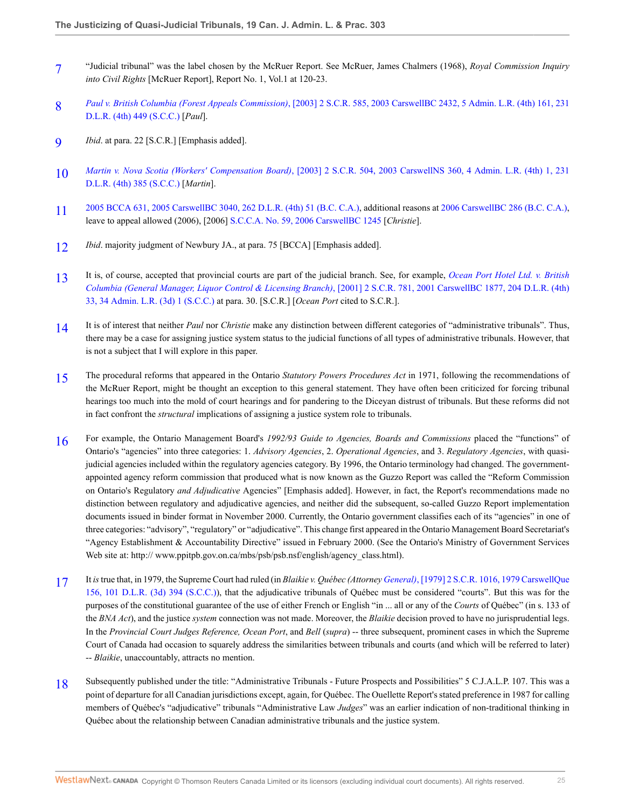- <span id="page-24-0"></span>[7](#page-1-4) "Judicial tribunal" was the label chosen by the McRuer Report. See McRuer, James Chalmers (1968), *Royal Commission Inquiry into Civil Rights* [McRuer Report], Report No. 1, Vol.1 at 120-23.
- <span id="page-24-1"></span>[8](#page-2-0) *Paul v. British Columbia (Forest Appeals Commission)*[, \[2003\] 2 S.C.R. 585, 2003 CarswellBC 2432, 5 Admin. L.R. \(4th\) 161, 231](http://nextcanada.westlaw.com/Link/Document/FullText?findType=Y&serNum=2003652347&pubNum=5156&originatingDoc=I1c8009115b1711dbbe1cf2d29fe2afe6&refType=IC&originationContext=document&vr=3.0&rs=cblt1.0&transitionType=DocumentItem&contextData=(sc.Search)) [D.L.R. \(4th\) 449 \(S.C.C.\)](http://nextcanada.westlaw.com/Link/Document/FullText?findType=Y&serNum=2003652347&pubNum=5156&originatingDoc=I1c8009115b1711dbbe1cf2d29fe2afe6&refType=IC&originationContext=document&vr=3.0&rs=cblt1.0&transitionType=DocumentItem&contextData=(sc.Search)) [*Paul*].
- <span id="page-24-2"></span> $\mathbf{Q}$ *Ibid*. at para. 22 [S.C.R.] [Emphasis added].
- <span id="page-24-3"></span>[10](#page-2-2) *Martin v. Nova Scotia (Workers' Compensation Board)*[, \[2003\] 2 S.C.R. 504, 2003 CarswellNS 360, 4 Admin. L.R. \(4th\) 1, 231](http://nextcanada.westlaw.com/Link/Document/FullText?findType=Y&serNum=2003652346&pubNum=5156&originatingDoc=I1c8009115b1711dbbe1cf2d29fe2afe6&refType=IC&originationContext=document&vr=3.0&rs=cblt1.0&transitionType=DocumentItem&contextData=(sc.Search)) [D.L.R. \(4th\) 385 \(S.C.C.\)](http://nextcanada.westlaw.com/Link/Document/FullText?findType=Y&serNum=2003652346&pubNum=5156&originatingDoc=I1c8009115b1711dbbe1cf2d29fe2afe6&refType=IC&originationContext=document&vr=3.0&rs=cblt1.0&transitionType=DocumentItem&contextData=(sc.Search)) [*Martin*].
- <span id="page-24-4"></span>[11](#page-2-3) [2005 BCCA 631, 2005 CarswellBC 3040, 262 D.L.R. \(4th\) 51 \(B.C. C.A.\)](http://nextcanada.westlaw.com/Link/Document/FullText?findType=Y&serNum=2007850238&pubNum=6458&originatingDoc=I1c8009115b1711dbbe1cf2d29fe2afe6&refType=IC&originationContext=document&vr=3.0&rs=cblt1.0&transitionType=DocumentItem&contextData=(sc.Search)), additional reasons at [2006 CarswellBC 286 \(B.C. C.A.\),](http://nextcanada.westlaw.com/Link/Document/FullText?findType=Y&serNum=2008068427&pubNum=5472&originatingDoc=I1c8009115b1711dbbe1cf2d29fe2afe6&refType=IC&originationContext=document&vr=3.0&rs=cblt1.0&transitionType=DocumentItem&contextData=(sc.Search)) leave to appeal allowed (2006), [2006] [S.C.C.A. No. 59, 2006 CarswellBC 1245](http://nextcanada.westlaw.com/Link/Document/FullText?findType=Y&pubNum=5472&cite=2006CWBC1245&originatingDoc=I1c8009115b1711dbbe1cf2d29fe2afe6&refType=IC&originationContext=document&vr=3.0&rs=cblt1.0&transitionType=DocumentItem&contextData=(sc.Search)) [*Christie*].
- <span id="page-24-5"></span>[12](#page-2-4) *Ibid.* majority judgment of Newbury JA., at para. 75 [BCCA] [Emphasis added].
- <span id="page-24-6"></span>[13](#page-2-5) It is, of course, accepted that provincial courts are part of the judicial branch. See, for example, *[Ocean Port Hotel Ltd. v. British](http://nextcanada.westlaw.com/Link/Document/FullText?findType=Y&serNum=2001458743&pubNum=5156&originatingDoc=I1c8009115b1711dbbe1cf2d29fe2afe6&refType=IC&originationContext=document&vr=3.0&rs=cblt1.0&transitionType=DocumentItem&contextData=(sc.Search)) [Columbia \(General Manager, Liquor Control & Licensing Branch\)](http://nextcanada.westlaw.com/Link/Document/FullText?findType=Y&serNum=2001458743&pubNum=5156&originatingDoc=I1c8009115b1711dbbe1cf2d29fe2afe6&refType=IC&originationContext=document&vr=3.0&rs=cblt1.0&transitionType=DocumentItem&contextData=(sc.Search))*, [2001] 2 S.C.R. 781, 2001 CarswellBC 1877, 204 D.L.R. (4th) [33, 34 Admin. L.R. \(3d\) 1 \(S.C.C.\)](http://nextcanada.westlaw.com/Link/Document/FullText?findType=Y&serNum=2001458743&pubNum=5156&originatingDoc=I1c8009115b1711dbbe1cf2d29fe2afe6&refType=IC&originationContext=document&vr=3.0&rs=cblt1.0&transitionType=DocumentItem&contextData=(sc.Search)) at para. 30. [S.C.R.] [*Ocean Port* cited to S.C.R.].
- <span id="page-24-7"></span>[14](#page-2-6) It is of interest that neither *Paul* nor *Christie* make any distinction between different categories of "administrative tribunals". Thus, there may be a case for assigning justice system status to the judicial functions of all types of administrative tribunals. However, that is not a subject that I will explore in this paper.
- <span id="page-24-8"></span>[15](#page-3-0) The procedural reforms that appeared in the Ontario *Statutory Powers Procedures Act* in 1971, following the recommendations of the McRuer Report, might be thought an exception to this general statement. They have often been criticized for forcing tribunal hearings too much into the mold of court hearings and for pandering to the Diceyan distrust of tribunals. But these reforms did not in fact confront the *structural* implications of assigning a justice system role to tribunals.
- <span id="page-24-9"></span>[16](#page-3-1) For example, the Ontario Management Board's *1992/93 Guide to Agencies, Boards and Commissions* placed the "functions" of Ontario's "agencies" into three categories: 1. *Advisory Agencies*, 2. *Operational Agencies*, and 3. *Regulatory Agencies*, with quasijudicial agencies included within the regulatory agencies category. By 1996, the Ontario terminology had changed. The governmentappointed agency reform commission that produced what is now known as the Guzzo Report was called the "Reform Commission on Ontario's Regulatory *and Adjudicative* Agencies" [Emphasis added]. However, in fact, the Report's recommendations made no distinction between regulatory and adjudicative agencies, and neither did the subsequent, so-called Guzzo Report implementation documents issued in binder format in November 2000. Currently, the Ontario government classifies each of its "agencies" in one of three categories: "advisory", "regulatory" or "adjudicative". This change first appeared in the Ontario Management Board Secretariat's "Agency Establishment & Accountability Directive" issued in February 2000. (See the Ontario's Ministry of Government Services Web site at: http:// www.ppitpb.gov.on.ca/mbs/psb/psb.nsf/english/agency\_class.html).
- <span id="page-24-10"></span>[17](#page-3-2) It *is* true that, in 1979, the Supreme Court had ruled (in *Blaikie v. Québec (Attorney General)*[, \[1979\] 2 S.C.R. 1016, 1979 CarswellQue](http://nextcanada.westlaw.com/Link/Document/FullText?findType=Y&serNum=1979091068&pubNum=5156&originatingDoc=I1c8009115b1711dbbe1cf2d29fe2afe6&refType=IC&originationContext=document&vr=3.0&rs=cblt1.0&transitionType=DocumentItem&contextData=(sc.Search)) [156, 101 D.L.R. \(3d\) 394 \(S.C.C.\)](http://nextcanada.westlaw.com/Link/Document/FullText?findType=Y&serNum=1979091068&pubNum=5156&originatingDoc=I1c8009115b1711dbbe1cf2d29fe2afe6&refType=IC&originationContext=document&vr=3.0&rs=cblt1.0&transitionType=DocumentItem&contextData=(sc.Search))), that the adjudicative tribunals of Québec must be considered "courts". But this was for the purposes of the constitutional guarantee of the use of either French or English "in ... all or any of the *Courts* of Québec" (in s. 133 of the *BNA Act*), and the justice *system* connection was not made. Moreover, the *Blaikie* decision proved to have no jurisprudential legs. In the *Provincial Court Judges Reference, Ocean Port*, and *Bell* (*supra*) -- three subsequent, prominent cases in which the Supreme Court of Canada had occasion to squarely address the similarities between tribunals and courts (and which will be referred to later) -- *Blaikie*, unaccountably, attracts no mention.
- <span id="page-24-11"></span>[18](#page-3-3) Subsequently published under the title: "Administrative Tribunals - Future Prospects and Possibilities" 5 C.J.A.L.P. 107. This was a point of departure for all Canadian jurisdictions except, again, for Québec. The Ouellette Report's stated preference in 1987 for calling members of Québec's "adjudicative" tribunals "Administrative Law *Judges*" was an earlier indication of non-traditional thinking in Québec about the relationship between Canadian administrative tribunals and the justice system.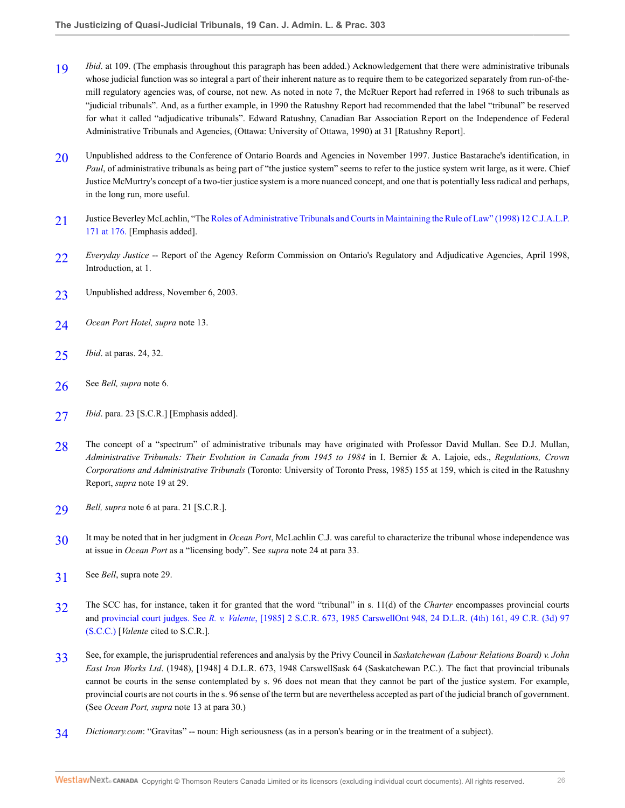- <span id="page-25-0"></span>[19](#page-3-4) *Ibid.* at 109. (The emphasis throughout this paragraph has been added.) Acknowledgement that there were administrative tribunals whose judicial function was so integral a part of their inherent nature as to require them to be categorized separately from run-of-themill regulatory agencies was, of course, not new. As noted in note 7, the McRuer Report had referred in 1968 to such tribunals as "judicial tribunals". And, as a further example, in 1990 the Ratushny Report had recommended that the label "tribunal" be reserved for what it called "adjudicative tribunals". Edward Ratushny, Canadian Bar Association Report on the Independence of Federal Administrative Tribunals and Agencies, (Ottawa: University of Ottawa, 1990) at 31 [Ratushny Report].
- <span id="page-25-1"></span>[20](#page-3-5) Unpublished address to the Conference of Ontario Boards and Agencies in November 1997. Justice Bastarache's identification, in *Paul*, of administrative tribunals as being part of "the justice system" seems to refer to the justice system writ large, as it were. Chief Justice McMurtry's concept of a two-tier justice system is a more nuanced concept, and one that is potentially less radical and perhaps, in the long run, more useful.
- <span id="page-25-2"></span>[21](#page-4-0) Justice Beverley McLachlin, "The [Roles of Administrative Tribunals and Courts in Maintaining the Rule of Law" \(1998\) 12 C.J.A.L.P.](http://nextcanada.westlaw.com/Link/Document/FullText?findType=Y&serNum=0284296787&pubNum=135178&originatingDoc=I1c8009115b1711dbbe1cf2d29fe2afe6&refType=LR&fi=co_pp_sp_135178_176&originationContext=document&vr=3.0&rs=cblt1.0&transitionType=DocumentItem&contextData=(sc.Search)#co_pp_sp_135178_176) [171 at 176.](http://nextcanada.westlaw.com/Link/Document/FullText?findType=Y&serNum=0284296787&pubNum=135178&originatingDoc=I1c8009115b1711dbbe1cf2d29fe2afe6&refType=LR&fi=co_pp_sp_135178_176&originationContext=document&vr=3.0&rs=cblt1.0&transitionType=DocumentItem&contextData=(sc.Search)#co_pp_sp_135178_176) [Emphasis added].
- <span id="page-25-3"></span>[22](#page-4-1) *Everyday Justice* -- Report of the Agency Reform Commission on Ontario's Regulatory and Adjudicative Agencies, April 1998, Introduction, at 1.
- <span id="page-25-4"></span>[23](#page-4-2) Unpublished address, November 6, 2003.
- <span id="page-25-5"></span>[24](#page-4-3) *Ocean Port Hotel, supra* note 13.
- <span id="page-25-6"></span>[25](#page-4-4) *Ibid*. at paras. 24, 32.
- <span id="page-25-7"></span>[26](#page-5-0) See *Bell, supra* note 6.
- <span id="page-25-8"></span>[27](#page-5-1) *Ibid*. para. 23 [S.C.R.] [Emphasis added].
- <span id="page-25-9"></span>[28](#page-5-2) The concept of a "spectrum" of administrative tribunals may have originated with Professor David Mullan. See D.J. Mullan, *Administrative Tribunals: Their Evolution in Canada from 1945 to 1984* in I. Bernier & A. Lajoie, eds., *Regulations, Crown Corporations and Administrative Tribunals* (Toronto: University of Toronto Press, 1985) 155 at 159, which is cited in the Ratushny Report, *supra* note 19 at 29.
- <span id="page-25-10"></span>[29](#page-5-3) *Bell, supra* note 6 at para. 21 [S.C.R.].
- <span id="page-25-11"></span>[30](#page-5-4) It may be noted that in her judgment in *Ocean Port*, McLachlin C.J. was careful to characterize the tribunal whose independence was at issue in *Ocean Port* as a "licensing body". See *supra* note 24 at para 33.
- <span id="page-25-12"></span>[31](#page-5-5) See *Bell*, supra note 29.
- <span id="page-25-13"></span>[32](#page-6-0) The SCC has, for instance, taken it for granted that the word "tribunal" in s. 11(d) of the *Charter* encompasses provincial courts and provincial court judges. See *R. v. Valente*[, \[1985\] 2 S.C.R. 673, 1985 CarswellOnt 948, 24 D.L.R. \(4th\) 161, 49 C.R. \(3d\) 97](http://nextcanada.westlaw.com/Link/Document/FullText?findType=Y&serNum=1985198311&pubNum=7047&originatingDoc=I1c8009115b1711dbbe1cf2d29fe2afe6&refType=RP&originationContext=document&vr=3.0&rs=cblt1.0&transitionType=DocumentItem&contextData=(sc.Search)) [\(S.C.C.\)](http://nextcanada.westlaw.com/Link/Document/FullText?findType=Y&serNum=1985198311&pubNum=7047&originatingDoc=I1c8009115b1711dbbe1cf2d29fe2afe6&refType=RP&originationContext=document&vr=3.0&rs=cblt1.0&transitionType=DocumentItem&contextData=(sc.Search)) [*Valente* cited to S.C.R.].
- <span id="page-25-14"></span>[33](#page-6-1) See, for example, the jurisprudential references and analysis by the Privy Council in *Saskatchewan (Labour Relations Board) v. John East Iron Works Ltd*. (1948), [1948] 4 D.L.R. 673, 1948 CarswellSask 64 (Saskatchewan P.C.). The fact that provincial tribunals cannot be courts in the sense contemplated by s. 96 does not mean that they cannot be part of the justice system. For example, provincial courts are not courts in the s. 96 sense of the term but are nevertheless accepted as part of the judicial branch of government. (See *Ocean Port, supra* note 13 at para 30.)
- <span id="page-25-15"></span>[34](#page-7-0) *Dictionary.com*: "Gravitas" -- noun: High seriousness (as in a person's bearing or in the treatment of a subject).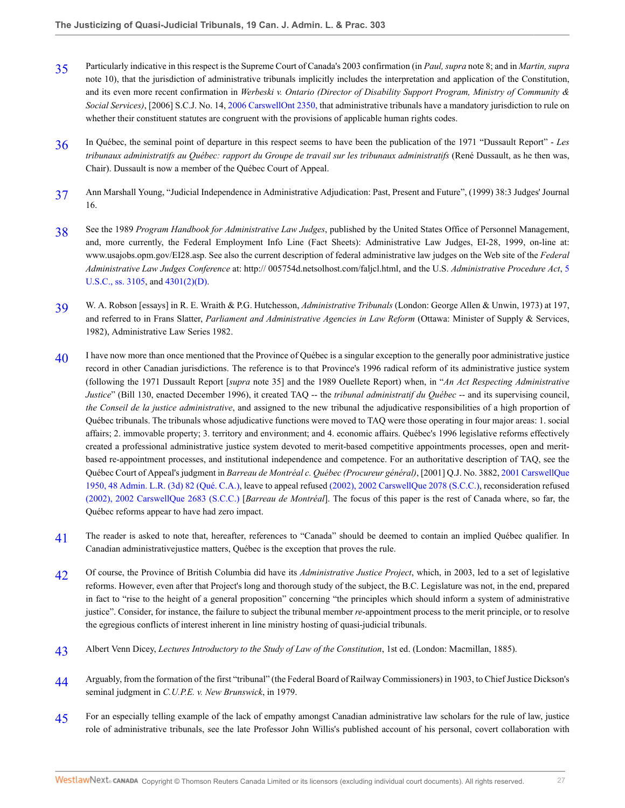- <span id="page-26-0"></span>[35](#page-7-1) Particularly indicative in this respect is the Supreme Court of Canada's 2003 confirmation (in *Paul, supra* note 8; and in *Martin, supra* note 10), that the jurisdiction of administrative tribunals implicitly includes the interpretation and application of the Constitution, and its even more recent confirmation in *Werbeski v. Ontario (Director of Disability Support Program, Ministry of Community & Social Services)*, [2006] S.C.J. No. 14, [2006 CarswellOnt 2350,](http://nextcanada.westlaw.com/Link/Document/FullText?findType=Y&serNum=2008966785&pubNum=5476&originatingDoc=I1c8009115b1711dbbe1cf2d29fe2afe6&refType=IC&originationContext=document&vr=3.0&rs=cblt1.0&transitionType=DocumentItem&contextData=(sc.Search)) that administrative tribunals have a mandatory jurisdiction to rule on whether their constituent statutes are congruent with the provisions of applicable human rights codes.
- <span id="page-26-1"></span>[36](#page-8-0) In Québec, the seminal point of departure in this respect seems to have been the publication of the 1971 "Dussault Report" - *Les tribunaux administratifs au Québec: rapport du Groupe de travail sur les tribunaux administratifs* (René Dussault, as he then was, Chair). Dussault is now a member of the Québec Court of Appeal.
- <span id="page-26-2"></span>[37](#page-8-1) Ann Marshall Young, "Judicial Independence in Administrative Adjudication: Past, Present and Future", (1999) 38:3 Judges' Journal 16.
- <span id="page-26-3"></span>[38](#page-8-2) See the 1989 *Program Handbook for Administrative Law Judges*, published by the United States Office of Personnel Management, and, more currently, the Federal Employment Info Line (Fact Sheets): Administrative Law Judges, EI-28, 1999, on-line at: www.usajobs.opm.gov/EI28.asp. See also the current description of federal administrative law judges on the Web site of the *Federal Administrative Law Judges Conference* at: http:// 005754d.netsolhost.com/faljcl.html, and the U.S. *Administrative Procedure Act*, [5](http://nextcanada.westlaw.com/Link/Document/FullText?findType=L&pubNum=1000546&cite=5USCAS3105&originatingDoc=I1c8009115b1711dbbe1cf2d29fe2afe6&refType=LQ&originationContext=document&vr=3.0&rs=cblt1.0&transitionType=DocumentItem&contextData=(sc.Search)) [U.S.C., ss. 3105](http://nextcanada.westlaw.com/Link/Document/FullText?findType=L&pubNum=1000546&cite=5USCAS3105&originatingDoc=I1c8009115b1711dbbe1cf2d29fe2afe6&refType=LQ&originationContext=document&vr=3.0&rs=cblt1.0&transitionType=DocumentItem&contextData=(sc.Search)), and [4301\(2\)\(D\).](http://nextcanada.westlaw.com/Link/Document/FullText?findType=L&pubNum=1000546&cite=5USCAS4301&originatingDoc=I1c8009115b1711dbbe1cf2d29fe2afe6&refType=RB&originationContext=document&vr=3.0&rs=cblt1.0&transitionType=DocumentItem&contextData=(sc.Search)#co_pp_816b0000b0934)
- <span id="page-26-4"></span>[39](#page-8-3) W. A. Robson [essays] in R. E. Wraith & P.G. Hutchesson, *Administrative Tribunals* (London: George Allen & Unwin, 1973) at 197, and referred to in Frans Slatter, *Parliament and Administrative Agencies in Law Reform* (Ottawa: Minister of Supply & Services, 1982), Administrative Law Series 1982.
- <span id="page-26-5"></span>[40](#page-8-4) I have now more than once mentioned that the Province of Québec is a singular exception to the generally poor administrative justice record in other Canadian jurisdictions. The reference is to that Province's 1996 radical reform of its administrative justice system (following the 1971 Dussault Report [*supra* note 35] and the 1989 Ouellete Report) when, in "*An Act Respecting Administrative Justice*" (Bill 130, enacted December 1996), it created TAQ -- the *tribunal administratif du Québec* -- and its supervising council, *the Conseil de la justice administrative*, and assigned to the new tribunal the adjudicative responsibilities of a high proportion of Québec tribunals. The tribunals whose adjudicative functions were moved to TAQ were those operating in four major areas: 1. social affairs; 2. immovable property; 3. territory and environment; and 4. economic affairs. Québec's 1996 legislative reforms effectively created a professional administrative justice system devoted to merit-based competitive appointments processes, open and meritbased re-appointment processes, and institutional independence and competence. For an authoritative description of TAQ, see the Québec Court of Appeal's judgment in *Barreau de Montréal c. Québec (Procureur général)*, [2001] Q.J. No. 3882, [2001 CarswellQue](http://nextcanada.westlaw.com/Link/Document/FullText?findType=Y&serNum=2001458530&pubNum=5481&originatingDoc=I1c8009115b1711dbbe1cf2d29fe2afe6&refType=IC&originationContext=document&vr=3.0&rs=cblt1.0&transitionType=DocumentItem&contextData=(sc.Search)) [1950, 48 Admin. L.R. \(3d\) 82 \(Qué. C.A.\),](http://nextcanada.westlaw.com/Link/Document/FullText?findType=Y&serNum=2001458530&pubNum=5481&originatingDoc=I1c8009115b1711dbbe1cf2d29fe2afe6&refType=IC&originationContext=document&vr=3.0&rs=cblt1.0&transitionType=DocumentItem&contextData=(sc.Search)) leave to appeal refused [\(2002\), 2002 CarswellQue 2078 \(S.C.C.\),](http://nextcanada.westlaw.com/Link/Document/FullText?findType=Y&serNum=2002514900&pubNum=5481&originatingDoc=I1c8009115b1711dbbe1cf2d29fe2afe6&refType=IC&originationContext=document&vr=3.0&rs=cblt1.0&transitionType=DocumentItem&contextData=(sc.Search)) reconsideration refused [\(2002\), 2002 CarswellQue 2683 \(S.C.C.\)](http://nextcanada.westlaw.com/Link/Document/FullText?findType=Y&serNum=2002766895&pubNum=5481&originatingDoc=I1c8009115b1711dbbe1cf2d29fe2afe6&refType=IC&originationContext=document&vr=3.0&rs=cblt1.0&transitionType=DocumentItem&contextData=(sc.Search)) [*Barreau de Montréal*]. The focus of this paper is the rest of Canada where, so far, the Québec reforms appear to have had zero impact.
- <span id="page-26-6"></span>[41](#page-8-5) The reader is asked to note that, hereafter, references to "Canada" should be deemed to contain an implied Québec qualifier. In Canadian administrativejustice matters, Québec is the exception that proves the rule.
- <span id="page-26-7"></span>[42](#page-8-6) Of course, the Province of British Columbia did have its *Administrative Justice Project*, which, in 2003, led to a set of legislative reforms. However, even after that Project's long and thorough study of the subject, the B.C. Legislature was not, in the end, prepared in fact to "rise to the height of a general proposition" concerning "the principles which should inform a system of administrative justice". Consider, for instance, the failure to subject the tribunal member *re*-appointment process to the merit principle, or to resolve the egregious conflicts of interest inherent in line ministry hosting of quasi-judicial tribunals.
- <span id="page-26-8"></span>[43](#page-9-0) Albert Venn Dicey, *Lectures Introductory to the Study of Law of the Constitution*, 1st ed. (London: Macmillan, 1885).
- <span id="page-26-9"></span>[44](#page-9-1) Arguably, from the formation of the first "tribunal" (the Federal Board of Railway Commissioners) in 1903, to Chief Justice Dickson's seminal judgment in *C.U.P.E. v. New Brunswick*, in 1979.
- <span id="page-26-10"></span>[45](#page-9-2) For an especially telling example of the lack of empathy amongst Canadian administrative law scholars for the rule of law, justice role of administrative tribunals, see the late Professor John Willis's published account of his personal, covert collaboration with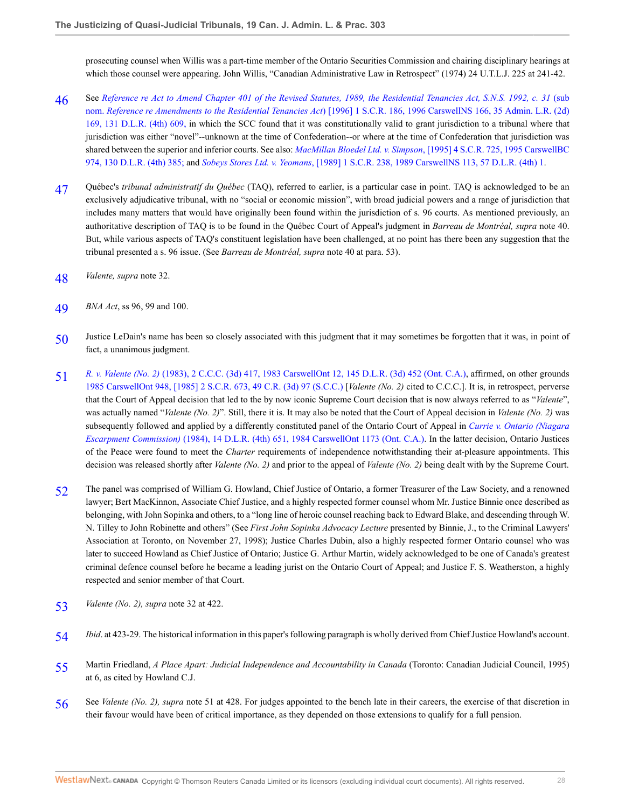prosecuting counsel when Willis was a part-time member of the Ontario Securities Commission and chairing disciplinary hearings at which those counsel were appearing. John Willis, "Canadian Administrative Law in Retrospect" (1974) 24 U.T.L.J. 225 at 241-42.

- <span id="page-27-0"></span>[46](#page-10-0) See *[Reference re Act to Amend Chapter 401 of the Revised Statutes, 1989, the Residential Tenancies Act, S.N.S. 1992, c. 31](http://nextcanada.westlaw.com/Link/Document/FullText?findType=Y&serNum=1996449247&pubNum=5156&originatingDoc=I1c8009115b1711dbbe1cf2d29fe2afe6&refType=IC&originationContext=document&vr=3.0&rs=cblt1.0&transitionType=DocumentItem&contextData=(sc.Search))* (sub nom. *Reference re Amendments to the Residential Tenancies Act*[\) \[1996\] 1 S.C.R. 186, 1996 CarswellNS 166, 35 Admin. L.R. \(2d\)](http://nextcanada.westlaw.com/Link/Document/FullText?findType=Y&serNum=1996449247&pubNum=5156&originatingDoc=I1c8009115b1711dbbe1cf2d29fe2afe6&refType=IC&originationContext=document&vr=3.0&rs=cblt1.0&transitionType=DocumentItem&contextData=(sc.Search)) [169, 131 D.L.R. \(4th\) 609,](http://nextcanada.westlaw.com/Link/Document/FullText?findType=Y&serNum=1996449247&pubNum=5156&originatingDoc=I1c8009115b1711dbbe1cf2d29fe2afe6&refType=IC&originationContext=document&vr=3.0&rs=cblt1.0&transitionType=DocumentItem&contextData=(sc.Search)) in which the SCC found that it was constitutionally valid to grant jurisdiction to a tribunal where that jurisdiction was either "novel"--unknown at the time of Confederation--or where at the time of Confederation that jurisdiction was shared between the superior and inferior courts. See also: *MacMillan Bloedel Ltd. v. Simpson*[, \[1995\] 4 S.C.R. 725, 1995 CarswellBC](http://nextcanada.westlaw.com/Link/Document/FullText?findType=Y&serNum=1995404345&pubNum=5156&originatingDoc=I1c8009115b1711dbbe1cf2d29fe2afe6&refType=IC&originationContext=document&vr=3.0&rs=cblt1.0&transitionType=DocumentItem&contextData=(sc.Search)) [974, 130 D.L.R. \(4th\) 385;](http://nextcanada.westlaw.com/Link/Document/FullText?findType=Y&serNum=1995404345&pubNum=5156&originatingDoc=I1c8009115b1711dbbe1cf2d29fe2afe6&refType=IC&originationContext=document&vr=3.0&rs=cblt1.0&transitionType=DocumentItem&contextData=(sc.Search)) and *Sobeys Stores Ltd. v. Yeomans*[, \[1989\] 1 S.C.R. 238, 1989 CarswellNS 113, 57 D.L.R. \(4th\) 1](http://nextcanada.westlaw.com/Link/Document/FullText?findType=Y&serNum=1989313581&pubNum=5156&originatingDoc=I1c8009115b1711dbbe1cf2d29fe2afe6&refType=IC&originationContext=document&vr=3.0&rs=cblt1.0&transitionType=DocumentItem&contextData=(sc.Search)).
- <span id="page-27-1"></span>[47](#page-10-1) Québec's *tribunal administratif du Québec* (TAQ), referred to earlier, is a particular case in point. TAQ is acknowledged to be an exclusively adjudicative tribunal, with no "social or economic mission", with broad judicial powers and a range of jurisdiction that includes many matters that would have originally been found within the jurisdiction of s. 96 courts. As mentioned previously, an authoritative description of TAQ is to be found in the Québec Court of Appeal's judgment in *Barreau de Montréal, supra* note 40. But, while various aspects of TAQ's constituent legislation have been challenged, at no point has there been any suggestion that the tribunal presented a s. 96 issue. (See *Barreau de Montréal, supra* note 40 at para. 53).
- <span id="page-27-2"></span>[48](#page-10-2) *Valente, supra* note 32.
- <span id="page-27-3"></span>[49](#page-10-3) *BNA Act*, ss 96, 99 and 100.
- <span id="page-27-4"></span>[50](#page-10-4) Justice LeDain's name has been so closely associated with this judgment that it may sometimes be forgotten that it was, in point of fact, a unanimous judgment.
- <span id="page-27-5"></span>[51](#page-10-5) *R. v. Valente (No. 2)* [\(1983\), 2 C.C.C. \(3d\) 417, 1983 CarswellOnt 12, 145 D.L.R. \(3d\) 452 \(Ont. C.A.\),](http://nextcanada.westlaw.com/Link/Document/FullText?findType=Y&serNum=1983174257&pubNum=5255&originatingDoc=I1c8009115b1711dbbe1cf2d29fe2afe6&refType=IC&originationContext=document&vr=3.0&rs=cblt1.0&transitionType=DocumentItem&contextData=(sc.Search)) affirmed, on other grounds [1985 CarswellOnt 948, \[1985\] 2 S.C.R. 673, 49 C.R. \(3d\) 97 \(S.C.C.\)](http://nextcanada.westlaw.com/Link/Document/FullText?findType=Y&serNum=1985198311&pubNum=7047&originatingDoc=I1c8009115b1711dbbe1cf2d29fe2afe6&refType=RP&originationContext=document&vr=3.0&rs=cblt1.0&transitionType=DocumentItem&contextData=(sc.Search)) [*Valente (No. 2)* cited to C.C.C.]. It is, in retrospect, perverse that the Court of Appeal decision that led to the by now iconic Supreme Court decision that is now always referred to as "*Valente*", was actually named "*Valente (No. 2)*". Still, there it is. It may also be noted that the Court of Appeal decision in *Valente (No. 2)* was subsequently followed and applied by a differently constituted panel of the Ontario Court of Appeal in *[Currie v. Ontario \(Niagara](http://nextcanada.westlaw.com/Link/Document/FullText?findType=Y&serNum=1984190145&pubNum=3591&originatingDoc=I1c8009115b1711dbbe1cf2d29fe2afe6&refType=IC&originationContext=document&vr=3.0&rs=cblt1.0&transitionType=DocumentItem&contextData=(sc.Search)) Escarpment Commission)* [\(1984\), 14 D.L.R. \(4th\) 651, 1984 CarswellOnt 1173 \(Ont. C.A.\).](http://nextcanada.westlaw.com/Link/Document/FullText?findType=Y&serNum=1984190145&pubNum=3591&originatingDoc=I1c8009115b1711dbbe1cf2d29fe2afe6&refType=IC&originationContext=document&vr=3.0&rs=cblt1.0&transitionType=DocumentItem&contextData=(sc.Search)) In the latter decision, Ontario Justices of the Peace were found to meet the *Charter* requirements of independence notwithstanding their at-pleasure appointments. This decision was released shortly after *Valente (No. 2)* and prior to the appeal of *Valente (No. 2)* being dealt with by the Supreme Court.
- <span id="page-27-6"></span>[52](#page-11-0) The panel was comprised of William G. Howland, Chief Justice of Ontario, a former Treasurer of the Law Society, and a renowned lawyer; Bert MacKinnon, Associate Chief Justice, and a highly respected former counsel whom Mr. Justice Binnie once described as belonging, with John Sopinka and others, to a "long line of heroic counsel reaching back to Edward Blake, and descending through W. N. Tilley to John Robinette and others" (See *First John Sopinka Advocacy Lecture* presented by Binnie, J., to the Criminal Lawyers' Association at Toronto, on November 27, 1998); Justice Charles Dubin, also a highly respected former Ontario counsel who was later to succeed Howland as Chief Justice of Ontario; Justice G. Arthur Martin, widely acknowledged to be one of Canada's greatest criminal defence counsel before he became a leading jurist on the Ontario Court of Appeal; and Justice F. S. Weatherston, a highly respected and senior member of that Court.
- <span id="page-27-7"></span>[53](#page-11-1) *Valente (No. 2), supra* note 32 at 422.
- <span id="page-27-8"></span>[54](#page-11-2) *Ibid*. at 423-29. The historical information in this paper's following paragraph is wholly derived from Chief Justice Howland's account.
- <span id="page-27-9"></span>[55](#page-11-3) Martin Friedland, *A Place Apart: Judicial Independence and Accountability in Canada* (Toronto: Canadian Judicial Council, 1995) at 6, as cited by Howland C.J.
- <span id="page-27-10"></span>[56](#page-11-4) See *Valente (No. 2), supra* note 51 at 428. For judges appointed to the bench late in their careers, the exercise of that discretion in their favour would have been of critical importance, as they depended on those extensions to qualify for a full pension.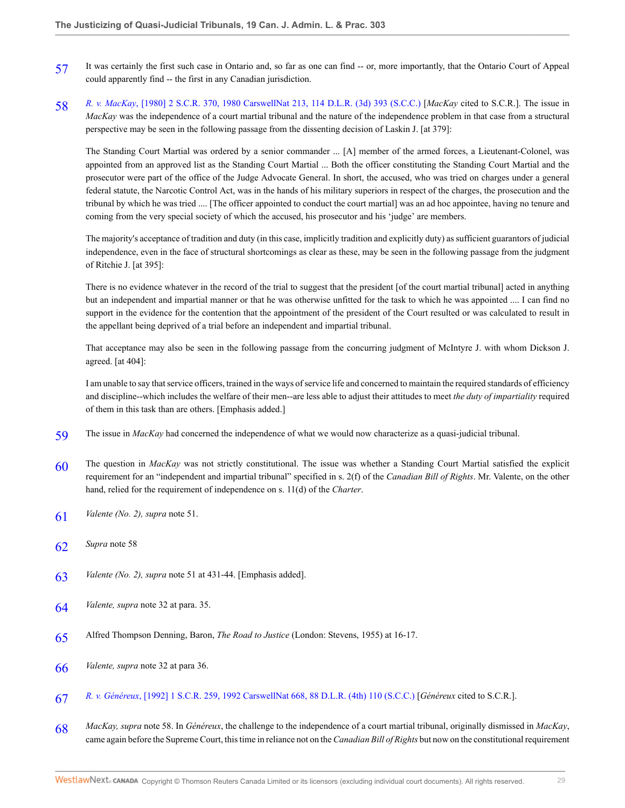- <span id="page-28-0"></span>[57](#page-11-5) It was certainly the first such case in Ontario and, so far as one can find -- or, more importantly, that the Ontario Court of Appeal could apparently find -- the first in any Canadian jurisdiction.
- <span id="page-28-1"></span>[58](#page-11-6) *R. v. MacKay*[, \[1980\] 2 S.C.R. 370, 1980 CarswellNat 213, 114 D.L.R. \(3d\) 393 \(S.C.C.\)](http://nextcanada.westlaw.com/Link/Document/FullText?findType=Y&serNum=1980158712&pubNum=5156&originatingDoc=I1c8009115b1711dbbe1cf2d29fe2afe6&refType=IC&originationContext=document&vr=3.0&rs=cblt1.0&transitionType=DocumentItem&contextData=(sc.Search)) [*MacKay* cited to S.C.R.]. The issue in *MacKay* was the independence of a court martial tribunal and the nature of the independence problem in that case from a structural perspective may be seen in the following passage from the dissenting decision of Laskin J. [at 379]:

The Standing Court Martial was ordered by a senior commander ... [A] member of the armed forces, a Lieutenant-Colonel, was appointed from an approved list as the Standing Court Martial ... Both the officer constituting the Standing Court Martial and the prosecutor were part of the office of the Judge Advocate General. In short, the accused, who was tried on charges under a general federal statute, the Narcotic Control Act, was in the hands of his military superiors in respect of the charges, the prosecution and the tribunal by which he was tried .... [The officer appointed to conduct the court martial] was an ad hoc appointee, having no tenure and coming from the very special society of which the accused, his prosecutor and his 'judge' are members.

The majority's acceptance of tradition and duty (in this case, implicitly tradition and explicitly duty) as sufficient guarantors of judicial independence, even in the face of structural shortcomings as clear as these, may be seen in the following passage from the judgment of Ritchie J. [at 395]:

There is no evidence whatever in the record of the trial to suggest that the president [of the court martial tribunal] acted in anything but an independent and impartial manner or that he was otherwise unfitted for the task to which he was appointed .... I can find no support in the evidence for the contention that the appointment of the president of the Court resulted or was calculated to result in the appellant being deprived of a trial before an independent and impartial tribunal.

That acceptance may also be seen in the following passage from the concurring judgment of McIntyre J. with whom Dickson J. agreed. [at 404]:

I am unable to say that service officers, trained in the ways of service life and concerned to maintain the required standards of efficiency and discipline--which includes the welfare of their men--are less able to adjust their attitudes to meet *the duty of impartiality* required of them in this task than are others. [Emphasis added.]

- <span id="page-28-2"></span>[59](#page-11-7) The issue in *MacKay* had concerned the independence of what we would now characterize as a quasi-judicial tribunal.
- <span id="page-28-3"></span>[60](#page-11-8) The question in *MacKay* was not strictly constitutional. The issue was whether a Standing Court Martial satisfied the explicit requirement for an "independent and impartial tribunal" specified in s. 2(f) of the *Canadian Bill of Rights*. Mr. Valente, on the other hand, relied for the requirement of independence on s. 11(d) of the *Charter*.
- <span id="page-28-4"></span>[61](#page-12-0) *Valente (No. 2), supra* note 51.
- <span id="page-28-5"></span>[62](#page-12-1) *Supra* note 58
- <span id="page-28-6"></span>[63](#page-12-2) *Valente (No. 2), supra* note 51 at 431-44. [Emphasis added].
- <span id="page-28-7"></span>[64](#page-14-0) *Valente, supra* note 32 at para. 35.
- <span id="page-28-8"></span>[65](#page-14-1) Alfred Thompson Denning, Baron, *The Road to Justice* (London: Stevens, 1955) at 16-17.
- <span id="page-28-9"></span>[66](#page-14-2) *Valente, supra* note 32 at para 36.
- <span id="page-28-10"></span>[67](#page-15-0) *R. v. Généreux*[, \[1992\] 1 S.C.R. 259, 1992 CarswellNat 668, 88 D.L.R. \(4th\) 110 \(S.C.C.\)](http://nextcanada.westlaw.com/Link/Document/FullText?findType=Y&serNum=1992364551&pubNum=5156&originatingDoc=I1c8009115b1711dbbe1cf2d29fe2afe6&refType=IC&originationContext=document&vr=3.0&rs=cblt1.0&transitionType=DocumentItem&contextData=(sc.Search)) [*Généreux* cited to S.C.R.].
- <span id="page-28-11"></span>[68](#page-15-1) *MacKay, supra* note 58. In *Généreux*, the challenge to the independence of a court martial tribunal, originally dismissed in *MacKay*, came again before the Supreme Court, this time in reliance not on the *Canadian Bill of Rights* but now on the constitutional requirement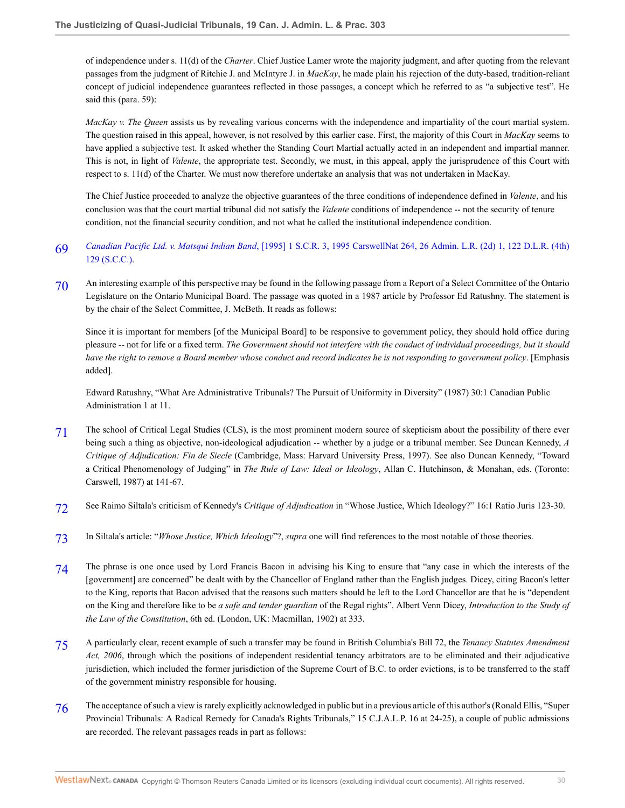of independence under s. 11(d) of the *Charter*. Chief Justice Lamer wrote the majority judgment, and after quoting from the relevant passages from the judgment of Ritchie J. and McIntyre J. in *MacKay*, he made plain his rejection of the duty-based, tradition-reliant concept of judicial independence guarantees reflected in those passages, a concept which he referred to as "a subjective test". He said this (para. 59):

*MacKay v. The Queen* assists us by revealing various concerns with the independence and impartiality of the court martial system. The question raised in this appeal, however, is not resolved by this earlier case. First, the majority of this Court in *MacKay* seems to have applied a subjective test. It asked whether the Standing Court Martial actually acted in an independent and impartial manner. This is not, in light of *Valente*, the appropriate test. Secondly, we must, in this appeal, apply the jurisprudence of this Court with respect to s. 11(d) of the Charter. We must now therefore undertake an analysis that was not undertaken in MacKay.

The Chief Justice proceeded to analyze the objective guarantees of the three conditions of independence defined in *Valente*, and his conclusion was that the court martial tribunal did not satisfy the *Valente* conditions of independence -- not the security of tenure condition, not the financial security condition, and not what he called the institutional independence condition.

- <span id="page-29-0"></span>[69](#page-15-2) *Canadian Pacific Ltd. v. Matsqui Indian Band*[, \[1995\] 1 S.C.R. 3, 1995 CarswellNat 264, 26 Admin. L.R. \(2d\) 1, 122 D.L.R. \(4th\)](http://nextcanada.westlaw.com/Link/Document/FullText?findType=Y&serNum=1995399329&pubNum=5156&originatingDoc=I1c8009115b1711dbbe1cf2d29fe2afe6&refType=IC&originationContext=document&vr=3.0&rs=cblt1.0&transitionType=DocumentItem&contextData=(sc.Search)) [129 \(S.C.C.\)](http://nextcanada.westlaw.com/Link/Document/FullText?findType=Y&serNum=1995399329&pubNum=5156&originatingDoc=I1c8009115b1711dbbe1cf2d29fe2afe6&refType=IC&originationContext=document&vr=3.0&rs=cblt1.0&transitionType=DocumentItem&contextData=(sc.Search)).
- <span id="page-29-1"></span>[70](#page-18-0) An interesting example of this perspective may be found in the following passage from a Report of a Select Committee of the Ontario Legislature on the Ontario Municipal Board. The passage was quoted in a 1987 article by Professor Ed Ratushny. The statement is by the chair of the Select Committee, J. McBeth. It reads as follows:

Since it is important for members [of the Municipal Board] to be responsive to government policy, they should hold office during pleasure -- not for life or a fixed term. *The Government should not interfere with the conduct of individual proceedings, but it should have the right to remove a Board member whose conduct and record indicates he is not responding to government policy*. [Emphasis added].

Edward Ratushny, "What Are Administrative Tribunals? The Pursuit of Uniformity in Diversity" (1987) 30:1 Canadian Public Administration 1 at 11.

- <span id="page-29-2"></span>[71](#page-19-0) The school of Critical Legal Studies (CLS), is the most prominent modern source of skepticism about the possibility of there ever being such a thing as objective, non-ideological adjudication -- whether by a judge or a tribunal member. See Duncan Kennedy, *A Critique of Adjudication: Fin de Siecle* (Cambridge, Mass: Harvard University Press, 1997). See also Duncan Kennedy, "Toward a Critical Phenomenology of Judging" in *The Rule of Law: Ideal or Ideology*, Allan C. Hutchinson, & Monahan, eds. (Toronto: Carswell, 1987) at 141-67.
- <span id="page-29-3"></span>[72](#page-19-1) See Raimo Siltala's criticism of Kennedy's *Critique of Adjudication* in "Whose Justice, Which Ideology?" 16:1 Ratio Juris 123-30.
- <span id="page-29-4"></span>[73](#page-19-2) In Siltala's article: "*Whose Justice, Which Ideology*"?, *supra* one will find references to the most notable of those theories.
- <span id="page-29-5"></span>[74](#page-20-0) The phrase is one once used by Lord Francis Bacon in advising his King to ensure that "any case in which the interests of the [government] are concerned" be dealt with by the Chancellor of England rather than the English judges. Dicey, citing Bacon's letter to the King, reports that Bacon advised that the reasons such matters should be left to the Lord Chancellor are that he is "dependent on the King and therefore like to be *a safe and tender guardian* of the Regal rights". Albert Venn Dicey, *Introduction to the Study of the Law of the Constitution*, 6th ed. (London, UK: Macmillan, 1902) at 333.
- <span id="page-29-6"></span>[75](#page-20-1) A particularly clear, recent example of such a transfer may be found in British Columbia's Bill 72, the *Tenancy Statutes Amendment Act, 2006*, through which the positions of independent residential tenancy arbitrators are to be eliminated and their adjudicative jurisdiction, which included the former jurisdiction of the Supreme Court of B.C. to order evictions, is to be transferred to the staff of the government ministry responsible for housing.
- <span id="page-29-7"></span>[76](#page-20-2) The acceptance of such a view is rarely explicitly acknowledged in public but in a previous article of this author's (Ronald Ellis, "Super Provincial Tribunals: A Radical Remedy for Canada's Rights Tribunals," 15 C.J.A.L.P. 16 at 24-25), a couple of public admissions are recorded. The relevant passages reads in part as follows: